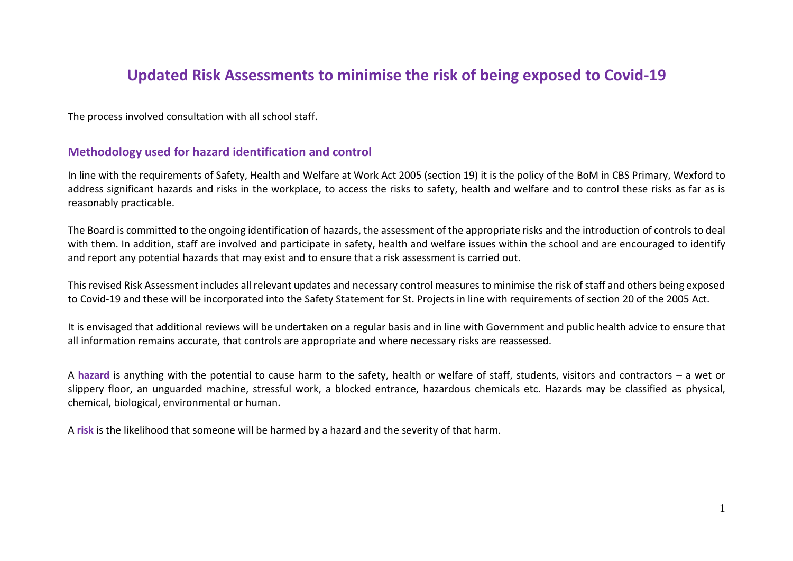### **Updated Risk Assessments to minimise the risk of being exposed to Covid-19**

The process involved consultation with all school staff.

#### **Methodology used for hazard identification and control**

In line with the requirements of Safety, Health and Welfare at Work Act 2005 (section 19) it is the policy of the BoM in CBS Primary, Wexford to address significant hazards and risks in the workplace, to access the risks to safety, health and welfare and to control these risks as far as is reasonably practicable.

The Board is committed to the ongoing identification of hazards, the assessment of the appropriate risks and the introduction of controls to deal with them. In addition, staff are involved and participate in safety, health and welfare issues within the school and are encouraged to identify and report any potential hazards that may exist and to ensure that a risk assessment is carried out.

This revised Risk Assessment includes all relevant updates and necessary control measures to minimise the risk of staff and others being exposed to Covid-19 and these will be incorporated into the Safety Statement for St. Projects in line with requirements of section 20 of the 2005 Act.

It is envisaged that additional reviews will be undertaken on a regular basis and in line with Government and public health advice to ensure that all information remains accurate, that controls are appropriate and where necessary risks are reassessed.

A **hazard** is anything with the potential to cause harm to the safety, health or welfare of staff, students, visitors and contractors – a wet or slippery floor, an unguarded machine, stressful work, a blocked entrance, hazardous chemicals etc. Hazards may be classified as physical, chemical, biological, environmental or human.

A **risk** is the likelihood that someone will be harmed by a hazard and the severity of that harm.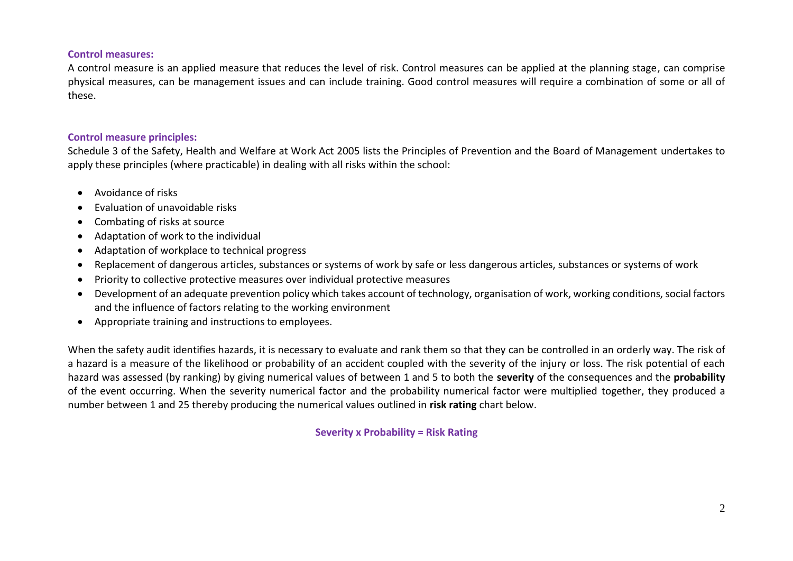#### **Control measures:**

A control measure is an applied measure that reduces the level of risk. Control measures can be applied at the planning stage, can comprise physical measures, can be management issues and can include training. Good control measures will require a combination of some or all of these.

#### **Control measure principles:**

Schedule 3 of the Safety, Health and Welfare at Work Act 2005 lists the Principles of Prevention and the Board of Management undertakes to apply these principles (where practicable) in dealing with all risks within the school:

- Avoidance of risks
- Evaluation of unavoidable risks
- Combating of risks at source
- Adaptation of work to the individual
- Adaptation of workplace to technical progress
- Replacement of dangerous articles, substances or systems of work by safe or less dangerous articles, substances or systems of work
- Priority to collective protective measures over individual protective measures
- Development of an adequate prevention policy which takes account of technology, organisation of work, working conditions, social factors and the influence of factors relating to the working environment
- Appropriate training and instructions to employees.

When the safety audit identifies hazards, it is necessary to evaluate and rank them so that they can be controlled in an orderly way. The risk of a hazard is a measure of the likelihood or probability of an accident coupled with the severity of the injury or loss. The risk potential of each hazard was assessed (by ranking) by giving numerical values of between 1 and 5 to both the **severity** of the consequences and the **probability** of the event occurring. When the severity numerical factor and the probability numerical factor were multiplied together, they produced a number between 1 and 25 thereby producing the numerical values outlined in **risk rating** chart below.

**Severity x Probability = Risk Rating**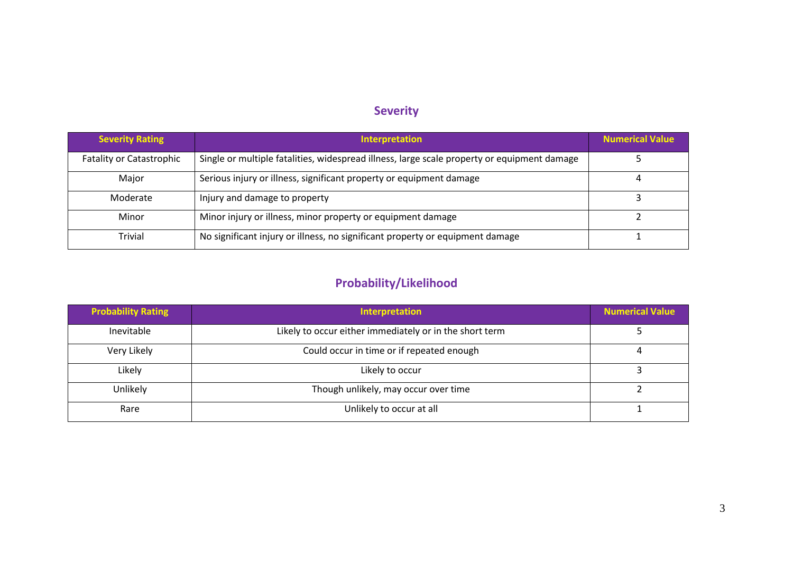### **Severity**

| <b>Severity Rating</b>          | <b>Interpretation</b>                                                                       | <b>Numerical Value</b> |
|---------------------------------|---------------------------------------------------------------------------------------------|------------------------|
| <b>Fatality or Catastrophic</b> | Single or multiple fatalities, widespread illness, large scale property or equipment damage |                        |
| Major                           | Serious injury or illness, significant property or equipment damage                         | 4                      |
| Moderate                        | Injury and damage to property                                                               |                        |
| Minor                           | Minor injury or illness, minor property or equipment damage                                 |                        |
| Trivial                         | No significant injury or illness, no significant property or equipment damage               |                        |

## **Probability/Likelihood**

| <b>Probability Rating</b> | Interpretation                                          | <b>Numerical Value</b> |
|---------------------------|---------------------------------------------------------|------------------------|
| Inevitable                | Likely to occur either immediately or in the short term |                        |
| Very Likely               | Could occur in time or if repeated enough               |                        |
| Likely                    | Likely to occur                                         |                        |
| Unlikely                  | Though unlikely, may occur over time                    |                        |
| Rare                      | Unlikely to occur at all                                |                        |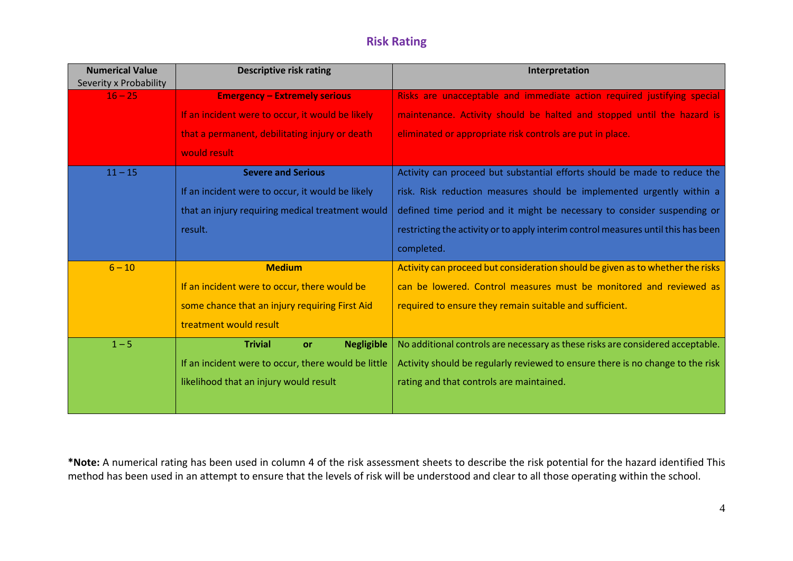### **Risk Rating**

| <b>Numerical Value</b><br>Severity x Probability | <b>Descriptive risk rating</b>                      | Interpretation                                                                    |
|--------------------------------------------------|-----------------------------------------------------|-----------------------------------------------------------------------------------|
| $16 - 25$                                        | <b>Emergency - Extremely serious</b>                | Risks are unacceptable and immediate action required justifying special           |
|                                                  | If an incident were to occur, it would be likely    | maintenance. Activity should be halted and stopped until the hazard is            |
|                                                  | that a permanent, debilitating injury or death      | eliminated or appropriate risk controls are put in place.                         |
|                                                  | would result                                        |                                                                                   |
| $11 - 15$                                        | <b>Severe and Serious</b>                           | Activity can proceed but substantial efforts should be made to reduce the         |
|                                                  | If an incident were to occur, it would be likely    | risk. Risk reduction measures should be implemented urgently within a             |
|                                                  | that an injury requiring medical treatment would    | defined time period and it might be necessary to consider suspending or           |
|                                                  | result.                                             | restricting the activity or to apply interim control measures until this has been |
|                                                  |                                                     | completed.                                                                        |
| $6 - 10$                                         | <b>Medium</b>                                       | Activity can proceed but consideration should be given as to whether the risks    |
|                                                  | If an incident were to occur, there would be        | can be lowered. Control measures must be monitored and reviewed as                |
|                                                  | some chance that an injury requiring First Aid      | required to ensure they remain suitable and sufficient.                           |
|                                                  | treatment would result                              |                                                                                   |
| $1 - 5$                                          | <b>Trivial</b><br><b>Negligible</b><br><b>or</b>    | No additional controls are necessary as these risks are considered acceptable.    |
|                                                  | If an incident were to occur, there would be little | Activity should be regularly reviewed to ensure there is no change to the risk    |
|                                                  | likelihood that an injury would result              | rating and that controls are maintained.                                          |
|                                                  |                                                     |                                                                                   |

**\*Note:** A numerical rating has been used in column 4 of the risk assessment sheets to describe the risk potential for the hazard identified This method has been used in an attempt to ensure that the levels of risk will be understood and clear to all those operating within the school.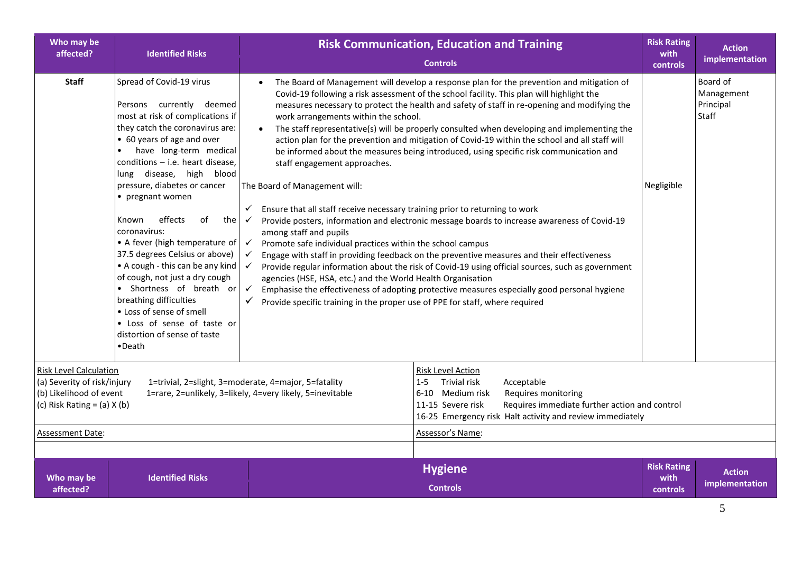| Who may be<br>affected?                                                                                                                                                                                                                                                                                                                                                                                                                                                                            | <b>Identified Risks</b>                                                                                                                                                                                                                                                                                                                                                                                                                                                                                                                                                                                                                                         |                                                                                                                                                                                                                                                                                                                                                                                                                                                                                                                                             | <b>Risk Communication, Education and Training</b><br><b>Controls</b>                                                                                                                                                                                                                                                                                                                                                                                                                                                                                                                                                                                                                                                                                                                                                                                                                                                                                                                 | <b>Risk Rating</b><br>with<br>controls | <b>Action</b><br>implementation              |
|----------------------------------------------------------------------------------------------------------------------------------------------------------------------------------------------------------------------------------------------------------------------------------------------------------------------------------------------------------------------------------------------------------------------------------------------------------------------------------------------------|-----------------------------------------------------------------------------------------------------------------------------------------------------------------------------------------------------------------------------------------------------------------------------------------------------------------------------------------------------------------------------------------------------------------------------------------------------------------------------------------------------------------------------------------------------------------------------------------------------------------------------------------------------------------|---------------------------------------------------------------------------------------------------------------------------------------------------------------------------------------------------------------------------------------------------------------------------------------------------------------------------------------------------------------------------------------------------------------------------------------------------------------------------------------------------------------------------------------------|--------------------------------------------------------------------------------------------------------------------------------------------------------------------------------------------------------------------------------------------------------------------------------------------------------------------------------------------------------------------------------------------------------------------------------------------------------------------------------------------------------------------------------------------------------------------------------------------------------------------------------------------------------------------------------------------------------------------------------------------------------------------------------------------------------------------------------------------------------------------------------------------------------------------------------------------------------------------------------------|----------------------------------------|----------------------------------------------|
| <b>Staff</b>                                                                                                                                                                                                                                                                                                                                                                                                                                                                                       | Spread of Covid-19 virus<br>Persons currently deemed<br>most at risk of complications if<br>they catch the coronavirus are:<br>• 60 years of age and over<br>have long-term medical<br>conditions $-$ i.e. heart disease,<br>lung disease, high blood<br>pressure, diabetes or cancer<br>• pregnant women<br>effects<br>of<br>the<br>Known<br>coronavirus:<br>• A fever (high temperature of<br>37.5 degrees Celsius or above)<br>• A cough - this can be any kind<br>of cough, not just a dry cough<br>• Shortness of breath or<br>breathing difficulties<br>• Loss of sense of smell<br>• Loss of sense of taste or<br>distortion of sense of taste<br>•Death | work arrangements within the school.<br>staff engagement approaches.<br>The Board of Management will:<br>Ensure that all staff receive necessary training prior to returning to work<br>$\checkmark$<br>$\checkmark$<br>among staff and pupils<br>Promote safe individual practices within the school campus<br>$\checkmark$<br>$\checkmark$<br>$\checkmark$<br>agencies (HSE, HSA, etc.) and the World Health Organisation<br>$\checkmark$<br>$\checkmark$<br>Provide specific training in the proper use of PPE for staff, where required | The Board of Management will develop a response plan for the prevention and mitigation of<br>Covid-19 following a risk assessment of the school facility. This plan will highlight the<br>measures necessary to protect the health and safety of staff in re-opening and modifying the<br>The staff representative(s) will be properly consulted when developing and implementing the<br>action plan for the prevention and mitigation of Covid-19 within the school and all staff will<br>be informed about the measures being introduced, using specific risk communication and<br>Provide posters, information and electronic message boards to increase awareness of Covid-19<br>Engage with staff in providing feedback on the preventive measures and their effectiveness<br>Provide regular information about the risk of Covid-19 using official sources, such as government<br>Emphasise the effectiveness of adopting protective measures especially good personal hygiene | Negligible                             | Board of<br>Management<br>Principal<br>Staff |
| <b>Risk Level Calculation</b><br><b>Risk Level Action</b><br>Trivial risk<br>(a) Severity of risk/injury<br>1=trivial, 2=slight, 3=moderate, 4=major, 5=fatality<br>$1 - 5$<br>Acceptable<br>(b) Likelihood of event<br>1=rare, 2=unlikely, 3=likely, 4=very likely, 5=inevitable<br>6-10 Medium risk<br>Requires monitoring<br>(c) Risk Rating = $(a)$ X $(b)$<br>Requires immediate further action and control<br>11-15 Severe risk<br>16-25 Emergency risk Halt activity and review immediately |                                                                                                                                                                                                                                                                                                                                                                                                                                                                                                                                                                                                                                                                 |                                                                                                                                                                                                                                                                                                                                                                                                                                                                                                                                             |                                                                                                                                                                                                                                                                                                                                                                                                                                                                                                                                                                                                                                                                                                                                                                                                                                                                                                                                                                                      |                                        |                                              |
| Assessment Date:                                                                                                                                                                                                                                                                                                                                                                                                                                                                                   |                                                                                                                                                                                                                                                                                                                                                                                                                                                                                                                                                                                                                                                                 |                                                                                                                                                                                                                                                                                                                                                                                                                                                                                                                                             | Assessor's Name:                                                                                                                                                                                                                                                                                                                                                                                                                                                                                                                                                                                                                                                                                                                                                                                                                                                                                                                                                                     |                                        |                                              |
| Who may be<br>affected?                                                                                                                                                                                                                                                                                                                                                                                                                                                                            | <b>Identified Risks</b>                                                                                                                                                                                                                                                                                                                                                                                                                                                                                                                                                                                                                                         |                                                                                                                                                                                                                                                                                                                                                                                                                                                                                                                                             | <b>Hygiene</b><br><b>Controls</b>                                                                                                                                                                                                                                                                                                                                                                                                                                                                                                                                                                                                                                                                                                                                                                                                                                                                                                                                                    | <b>Risk Rating</b><br>with<br>controls | <b>Action</b><br>implementation              |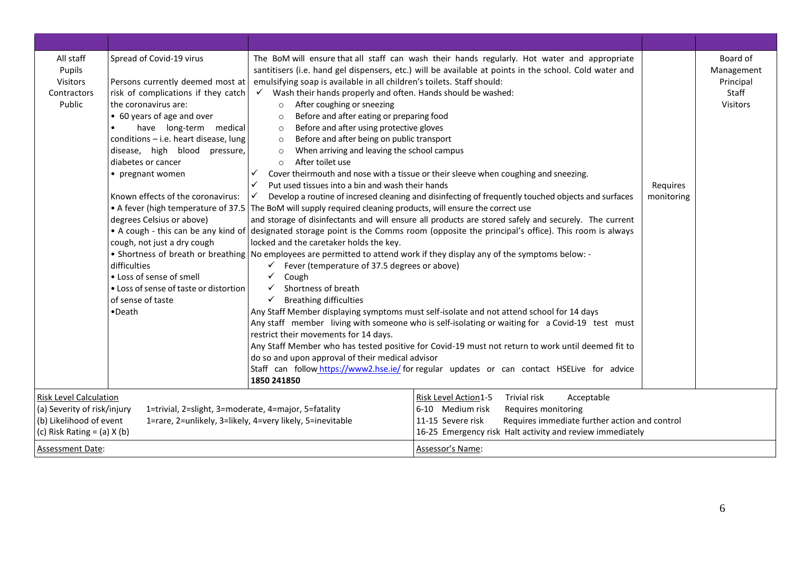| All staff<br>Pupils<br>Visitors<br>Contractors<br>Public                                                                   | Spread of Covid-19 virus<br>Persons currently deemed most at<br>risk of complications if they catch<br>the coronavirus are:<br>• 60 years of age and over<br>have long-term medical<br>$\bullet$<br>conditions - i.e. heart disease, lung<br>disease, high blood pressure,<br>diabetes or cancer<br>• pregnant women<br>Known effects of the coronavirus:<br>degrees Celsius or above)<br>cough, not just a dry cough<br>difficulties<br>• Loss of sense of smell<br>• Loss of sense of taste or distortion<br>of sense of taste<br>•Death | The BoM will ensure that all staff can wash their hands regularly. Hot water and appropriate<br>santitisers (i.e. hand gel dispensers, etc.) will be available at points in the school. Cold water and<br>emulsifying soap is available in all children's toilets. Staff should:<br>Wash their hands properly and often. Hands should be washed:<br>$\checkmark$<br>After coughing or sneezing<br>$\circ$<br>Before and after eating or preparing food<br>$\circ$<br>Before and after using protective gloves<br>$\circ$<br>Before and after being on public transport<br>$\circ$<br>When arriving and leaving the school campus<br>$\circ$<br>After toilet use<br>$\circ$<br>$\checkmark$<br>Cover theirmouth and nose with a tissue or their sleeve when coughing and sneezing.<br>Put used tissues into a bin and wash their hands<br>✓<br>$\checkmark$<br>Develop a routine of incresed cleaning and disinfecting of frequently touched objects and surfaces<br>• A fever (high temperature of 37.5 The BoM will supply required cleaning products, will ensure the correct use<br>and storage of disinfectants and will ensure all products are stored safely and securely. The current<br>• A cough - this can be any kind of designated storage point is the Comms room (opposite the principal's office). This room is always<br>locked and the caretaker holds the key.<br>• Shortness of breath or breathing   No employees are permitted to attend work if they display any of the symptoms below: -<br>$\checkmark$ Fever (temperature of 37.5 degrees or above)<br>Cough<br>✓<br>Shortness of breath<br><b>Breathing difficulties</b><br>$\checkmark$<br>Any Staff Member displaying symptoms must self-isolate and not attend school for 14 days<br>Any staff member living with someone who is self-isolating or waiting for a Covid-19 test must<br>restrict their movements for 14 days.<br>Any Staff Member who has tested positive for Covid-19 must not return to work until deemed fit to<br>do so and upon approval of their medical advisor<br>Staff can follow https://www2.hse.ie/ for regular updates or can contact HSELive for advice<br>1850 241850 | Requires<br>monitoring | Board of<br>Management<br>Principal<br>Staff<br>Visitors |
|----------------------------------------------------------------------------------------------------------------------------|--------------------------------------------------------------------------------------------------------------------------------------------------------------------------------------------------------------------------------------------------------------------------------------------------------------------------------------------------------------------------------------------------------------------------------------------------------------------------------------------------------------------------------------------|----------------------------------------------------------------------------------------------------------------------------------------------------------------------------------------------------------------------------------------------------------------------------------------------------------------------------------------------------------------------------------------------------------------------------------------------------------------------------------------------------------------------------------------------------------------------------------------------------------------------------------------------------------------------------------------------------------------------------------------------------------------------------------------------------------------------------------------------------------------------------------------------------------------------------------------------------------------------------------------------------------------------------------------------------------------------------------------------------------------------------------------------------------------------------------------------------------------------------------------------------------------------------------------------------------------------------------------------------------------------------------------------------------------------------------------------------------------------------------------------------------------------------------------------------------------------------------------------------------------------------------------------------------------------------------------------------------------------------------------------------------------------------------------------------------------------------------------------------------------------------------------------------------------------------------------------------------------------------------------------------------------------------------------------------------------------------------------------------------------------------------------------------------------------------------|------------------------|----------------------------------------------------------|
| <b>Risk Level Calculation</b><br>(a) Severity of risk/injury<br>(b) Likelihood of event<br>(c) Risk Rating = $(a)$ X $(b)$ | 1=trivial, 2=slight, 3=moderate, 4=major, 5=fatality                                                                                                                                                                                                                                                                                                                                                                                                                                                                                       | Risk Level Action1-5<br><b>Trivial risk</b><br>Acceptable<br>6-10 Medium risk<br>Requires monitoring<br>1=rare, 2=unlikely, 3=likely, 4=very likely, 5=inevitable<br>Requires immediate further action and control<br>11-15 Severe risk<br>16-25 Emergency risk Halt activity and review immediately                                                                                                                                                                                                                                                                                                                                                                                                                                                                                                                                                                                                                                                                                                                                                                                                                                                                                                                                                                                                                                                                                                                                                                                                                                                                                                                                                                                                                                                                                                                                                                                                                                                                                                                                                                                                                                                                             |                        |                                                          |
| <b>Assessment Date:</b>                                                                                                    |                                                                                                                                                                                                                                                                                                                                                                                                                                                                                                                                            | Assessor's Name:                                                                                                                                                                                                                                                                                                                                                                                                                                                                                                                                                                                                                                                                                                                                                                                                                                                                                                                                                                                                                                                                                                                                                                                                                                                                                                                                                                                                                                                                                                                                                                                                                                                                                                                                                                                                                                                                                                                                                                                                                                                                                                                                                                 |                        |                                                          |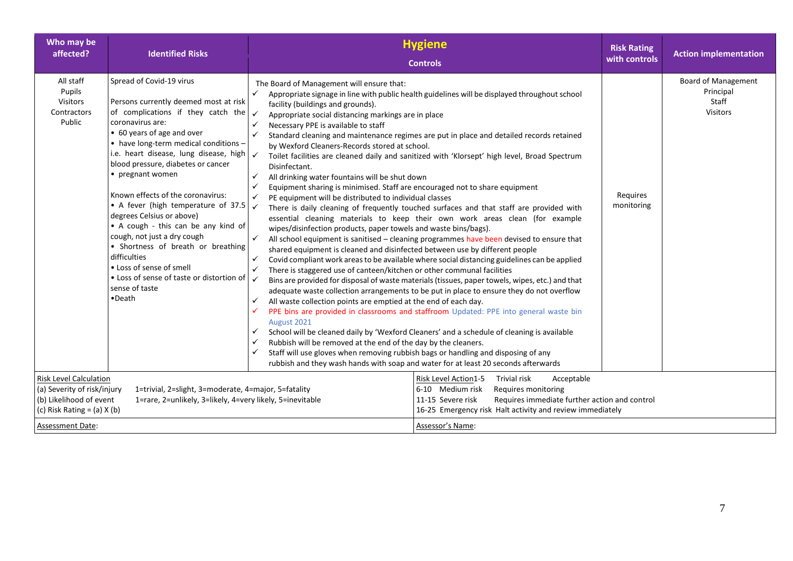| Who may be<br>affected?                                                                                                    | <b>Identified Risks</b>                                                                                                                                                                                                                                                                                                                                                                                                                                                                                                                                                                                                                          | <b>Hygiene</b><br><b>Controls</b>                                                                                                                                                                                                                                                                                                                                                                                                                                                                                                                                                                                                                                                                                                                                                                                                                                                                                                                                                                                                                                                                                                                                                                                                                                                                                                                                                                                                                                                                                                                                                                                                                                                                                                                                                                                                                                                                                                                                                                                                                                                                                                                                                                                                                                                                                  | <b>Risk Rating</b><br>with controls | <b>Action implementation</b>                                        |
|----------------------------------------------------------------------------------------------------------------------------|--------------------------------------------------------------------------------------------------------------------------------------------------------------------------------------------------------------------------------------------------------------------------------------------------------------------------------------------------------------------------------------------------------------------------------------------------------------------------------------------------------------------------------------------------------------------------------------------------------------------------------------------------|--------------------------------------------------------------------------------------------------------------------------------------------------------------------------------------------------------------------------------------------------------------------------------------------------------------------------------------------------------------------------------------------------------------------------------------------------------------------------------------------------------------------------------------------------------------------------------------------------------------------------------------------------------------------------------------------------------------------------------------------------------------------------------------------------------------------------------------------------------------------------------------------------------------------------------------------------------------------------------------------------------------------------------------------------------------------------------------------------------------------------------------------------------------------------------------------------------------------------------------------------------------------------------------------------------------------------------------------------------------------------------------------------------------------------------------------------------------------------------------------------------------------------------------------------------------------------------------------------------------------------------------------------------------------------------------------------------------------------------------------------------------------------------------------------------------------------------------------------------------------------------------------------------------------------------------------------------------------------------------------------------------------------------------------------------------------------------------------------------------------------------------------------------------------------------------------------------------------------------------------------------------------------------------------------------------------|-------------------------------------|---------------------------------------------------------------------|
| All staff<br>Pupils<br>Visitors<br>Contractors<br>Public                                                                   | Spread of Covid-19 virus<br>Persons currently deemed most at risk<br>of complications if they catch the<br>coronavirus are:<br>• 60 years of age and over<br>• have long-term medical conditions -<br>i.e. heart disease, lung disease, high<br>blood pressure, diabetes or cancer<br>• pregnant women<br>Known effects of the coronavirus:<br>• A fever (high temperature of 37.5<br>degrees Celsius or above)<br>• A cough - this can be any kind of<br>cough, not just a dry cough<br>• Shortness of breath or breathing<br>difficulties<br>• Loss of sense of smell<br>• Loss of sense of taste or distortion of<br>sense of taste<br>•Death | The Board of Management will ensure that:<br>✓<br>Appropriate signage in line with public health guidelines will be displayed throughout school<br>facility (buildings and grounds).<br>$\checkmark$<br>Appropriate social distancing markings are in place<br>$\checkmark$<br>Necessary PPE is available to staff<br>$\checkmark$<br>Standard cleaning and maintenance regimes are put in place and detailed records retained<br>by Wexford Cleaners-Records stored at school.<br>$\checkmark$<br>Toilet facilities are cleaned daily and sanitized with 'Klorsept' high level, Broad Spectrum<br>Disinfectant.<br>$\checkmark$<br>All drinking water fountains will be shut down<br>Equipment sharing is minimised. Staff are encouraged not to share equipment<br>✓<br>$\checkmark$<br>PE equipment will be distributed to individual classes<br>$\checkmark$<br>There is daily cleaning of frequently touched surfaces and that staff are provided with<br>essential cleaning materials to keep their own work areas clean (for example<br>wipes/disinfection products, paper towels and waste bins/bags).<br>$\checkmark$<br>All school equipment is sanitised - cleaning programmes have been devised to ensure that<br>shared equipment is cleaned and disinfected between use by different people<br>$\checkmark$<br>Covid compliant work areas to be available where social distancing guidelines can be applied<br>✓<br>There is staggered use of canteen/kitchen or other communal facilities<br>$\checkmark$<br>Bins are provided for disposal of waste materials (tissues, paper towels, wipes, etc.) and that<br>adequate waste collection arrangements to be put in place to ensure they do not overflow<br>All waste collection points are emptied at the end of each day.<br>$\checkmark$<br>PPE bins are provided in classrooms and staffroom Updated: PPE into general waste bin<br>$\checkmark$<br>August 2021<br>School will be cleaned daily by 'Wexford Cleaners' and a schedule of cleaning is available<br>$\checkmark$<br>Rubbish will be removed at the end of the day by the cleaners.<br>✓<br>Staff will use gloves when removing rubbish bags or handling and disposing of any<br>$\checkmark$<br>rubbish and they wash hands with soap and water for at least 20 seconds afterwards | Requires<br>monitoring              | <b>Board of Management</b><br>Principal<br>Staff<br><b>Visitors</b> |
| <b>Risk Level Calculation</b><br>(a) Severity of risk/injury<br>(b) Likelihood of event<br>(c) Risk Rating = $(a)$ X $(b)$ | 1=trivial, 2=slight, 3=moderate, 4=major, 5=fatality<br>1=rare, 2=unlikely, 3=likely, 4=very likely, 5=inevitable                                                                                                                                                                                                                                                                                                                                                                                                                                                                                                                                | Trivial risk<br>Acceptable<br>Risk Level Action1-5<br>6-10 Medium risk<br>Requires monitoring<br>Requires immediate further action and control<br>11-15 Severe risk<br>16-25 Emergency risk Halt activity and review immediately                                                                                                                                                                                                                                                                                                                                                                                                                                                                                                                                                                                                                                                                                                                                                                                                                                                                                                                                                                                                                                                                                                                                                                                                                                                                                                                                                                                                                                                                                                                                                                                                                                                                                                                                                                                                                                                                                                                                                                                                                                                                                   |                                     |                                                                     |
| Assessment Date:                                                                                                           |                                                                                                                                                                                                                                                                                                                                                                                                                                                                                                                                                                                                                                                  | Assessor's Name:                                                                                                                                                                                                                                                                                                                                                                                                                                                                                                                                                                                                                                                                                                                                                                                                                                                                                                                                                                                                                                                                                                                                                                                                                                                                                                                                                                                                                                                                                                                                                                                                                                                                                                                                                                                                                                                                                                                                                                                                                                                                                                                                                                                                                                                                                                   |                                     |                                                                     |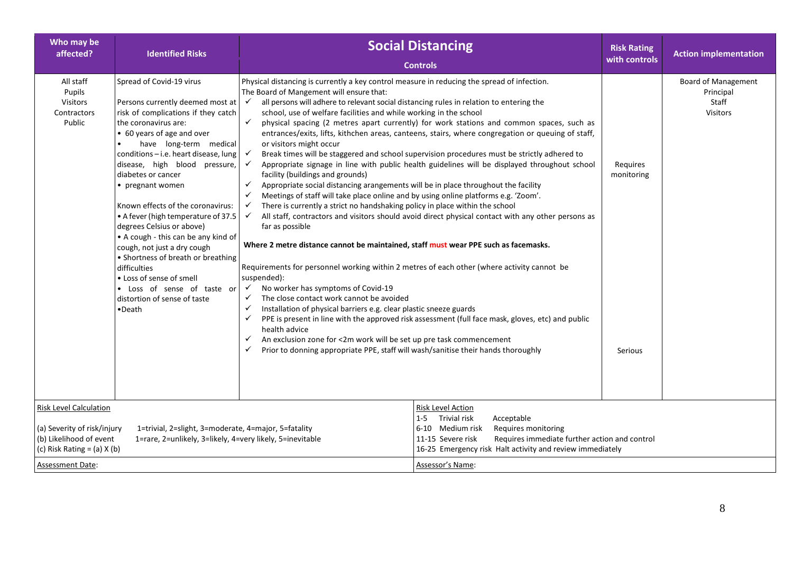| Who may be<br>affected?                                                                                                                                                                                        | <b>Identified Risks</b>                                                                                                                                                                                                                                                                                                                                                                                                                                                                                                                                                       | <b>Social Distancing</b><br><b>Controls</b>                                                                                                                                                                                                                                                                                                                                                                                                                                                                                                                                                                                                                                                                                                                                                                                                                                                                                                                                                                                                                                                                                                                                                                                                                                                                                                                                                                                                                      | <b>Risk Rating</b><br>with controls | <b>Action implementation</b>                                        |
|----------------------------------------------------------------------------------------------------------------------------------------------------------------------------------------------------------------|-------------------------------------------------------------------------------------------------------------------------------------------------------------------------------------------------------------------------------------------------------------------------------------------------------------------------------------------------------------------------------------------------------------------------------------------------------------------------------------------------------------------------------------------------------------------------------|------------------------------------------------------------------------------------------------------------------------------------------------------------------------------------------------------------------------------------------------------------------------------------------------------------------------------------------------------------------------------------------------------------------------------------------------------------------------------------------------------------------------------------------------------------------------------------------------------------------------------------------------------------------------------------------------------------------------------------------------------------------------------------------------------------------------------------------------------------------------------------------------------------------------------------------------------------------------------------------------------------------------------------------------------------------------------------------------------------------------------------------------------------------------------------------------------------------------------------------------------------------------------------------------------------------------------------------------------------------------------------------------------------------------------------------------------------------|-------------------------------------|---------------------------------------------------------------------|
| All staff<br>Pupils<br><b>Visitors</b><br>Contractors<br>Public                                                                                                                                                | Spread of Covid-19 virus<br>Persons currently deemed most at<br>risk of complications if they catch<br>the coronavirus are:<br>• 60 years of age and over<br>have long-term medical<br>conditions - i.e. heart disease, lung<br>disease, high blood pressure,<br>diabetes or cancer<br>• pregnant women<br>Known effects of the coronavirus:<br>• A fever (high temperature of 37.5<br>degrees Celsius or above)<br>• A cough - this can be any kind of<br>cough, not just a dry cough<br>• Shortness of breath or breathing<br>difficulties<br>• Loss of sense of smell      | Physical distancing is currently a key control measure in reducing the spread of infection.<br>The Board of Mangement will ensure that:<br>all persons will adhere to relevant social distancing rules in relation to entering the<br>$\checkmark$<br>school, use of welfare facilities and while working in the school<br>✓<br>physical spacing (2 metres apart currently) for work stations and common spaces, such as<br>entrances/exits, lifts, kithchen areas, canteens, stairs, where congregation or queuing of staff,<br>or visitors might occur<br>Break times will be staggered and school supervision procedures must be strictly adhered to<br>$\checkmark$<br>Appropriate signage in line with public health guidelines will be displayed throughout school<br>$\checkmark$<br>facility (buildings and grounds)<br>✓<br>Appropriate social distancing arangements will be in place throughout the facility<br>✓<br>Meetings of staff will take place online and by using online platforms e.g. 'Zoom'.<br>There is currently a strict no handshaking policy in place within the school<br>$\checkmark$<br>All staff, contractors and visitors should avoid direct physical contact with any other persons as<br>$\checkmark$<br>far as possible<br>Where 2 metre distance cannot be maintained, staff must wear PPE such as facemasks.<br>Requirements for personnel working within 2 metres of each other (where activity cannot be<br>suspended): | Requires<br>monitoring              | <b>Board of Management</b><br>Principal<br>Staff<br><b>Visitors</b> |
| <b>Risk Level Calculation</b>                                                                                                                                                                                  | No worker has symptoms of Covid-19<br>. Loss of sense of taste or<br>$\checkmark$<br>The close contact work cannot be avoided<br>✓<br>distortion of sense of taste<br>✓<br>Installation of physical barriers e.g. clear plastic sneeze guards<br>•Death<br>PPE is present in line with the approved risk assessment (full face mask, gloves, etc) and public<br>✓<br>health advice<br>An exclusion zone for <2m work will be set up pre task commencement<br>✓<br>Prior to donning appropriate PPE, staff will wash/sanitise their hands thoroughly<br>✓<br>Risk Level Action |                                                                                                                                                                                                                                                                                                                                                                                                                                                                                                                                                                                                                                                                                                                                                                                                                                                                                                                                                                                                                                                                                                                                                                                                                                                                                                                                                                                                                                                                  |                                     |                                                                     |
| (a) Severity of risk/injury<br>1=trivial, 2=slight, 3=moderate, 4=major, 5=fatality<br>(b) Likelihood of event<br>1=rare, 2=unlikely, 3=likely, 4=very likely, 5=inevitable<br>(c) Risk Rating = $(a)$ X $(b)$ |                                                                                                                                                                                                                                                                                                                                                                                                                                                                                                                                                                               | Trivial risk<br>$1 - 5$<br>Acceptable<br>6-10 Medium risk<br>Requires monitoring<br>11-15 Severe risk<br>Requires immediate further action and control<br>16-25 Emergency risk Halt activity and review immediately                                                                                                                                                                                                                                                                                                                                                                                                                                                                                                                                                                                                                                                                                                                                                                                                                                                                                                                                                                                                                                                                                                                                                                                                                                              |                                     |                                                                     |
| <b>Assessment Date:</b>                                                                                                                                                                                        |                                                                                                                                                                                                                                                                                                                                                                                                                                                                                                                                                                               | Assessor's Name:                                                                                                                                                                                                                                                                                                                                                                                                                                                                                                                                                                                                                                                                                                                                                                                                                                                                                                                                                                                                                                                                                                                                                                                                                                                                                                                                                                                                                                                 |                                     |                                                                     |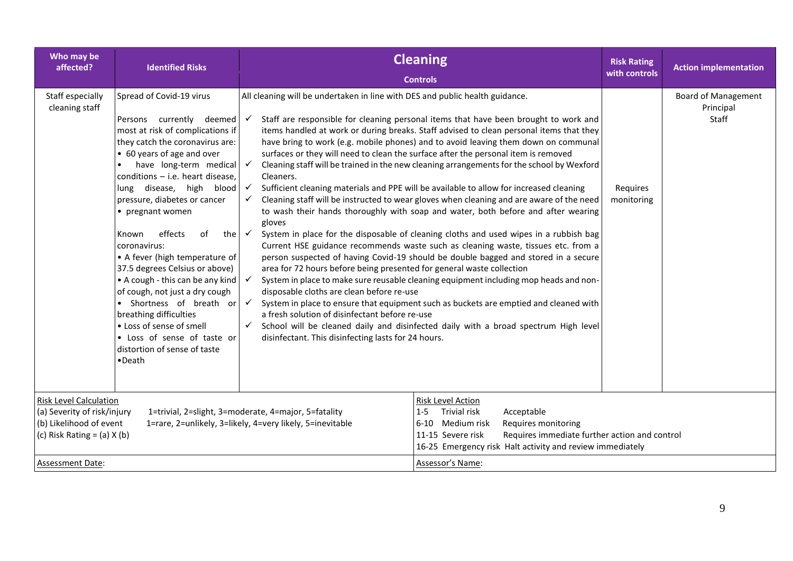| Who may be<br>affected?                                                                                                    | <b>Identified Risks</b>                                                                                                                                                                                                                                                                                                                                                                                                                                                                                                                                                                                                                                                      |                                                                                                                                                                                                                                                                                                                                                                                                                                    | <b>Cleaning</b>                                                                                                                                                                                                                                                                                                                                                                                                                                                                                                                                                                                                                                                                                                                                                                                                                                                                                                                                                                                                                                                                                                                                                                                                                                                                                      | <b>Risk Rating</b><br>with controls | <b>Action implementation</b>                     |
|----------------------------------------------------------------------------------------------------------------------------|------------------------------------------------------------------------------------------------------------------------------------------------------------------------------------------------------------------------------------------------------------------------------------------------------------------------------------------------------------------------------------------------------------------------------------------------------------------------------------------------------------------------------------------------------------------------------------------------------------------------------------------------------------------------------|------------------------------------------------------------------------------------------------------------------------------------------------------------------------------------------------------------------------------------------------------------------------------------------------------------------------------------------------------------------------------------------------------------------------------------|------------------------------------------------------------------------------------------------------------------------------------------------------------------------------------------------------------------------------------------------------------------------------------------------------------------------------------------------------------------------------------------------------------------------------------------------------------------------------------------------------------------------------------------------------------------------------------------------------------------------------------------------------------------------------------------------------------------------------------------------------------------------------------------------------------------------------------------------------------------------------------------------------------------------------------------------------------------------------------------------------------------------------------------------------------------------------------------------------------------------------------------------------------------------------------------------------------------------------------------------------------------------------------------------------|-------------------------------------|--------------------------------------------------|
| Staff especially<br>cleaning staff                                                                                         | Spread of Covid-19 virus<br>Persons currently deemed<br>most at risk of complications if<br>they catch the coronavirus are:<br>• 60 years of age and over<br>have long-term medical<br>conditions $-$ i.e. heart disease,<br>lung disease, high blood<br>pressure, diabetes or cancer<br>• pregnant women<br>effects<br>of<br>the $\checkmark$<br>Known<br>coronavirus:<br>• A fever (high temperature of<br>37.5 degrees Celsius or above)<br>• A cough - this can be any kind<br>of cough, not just a dry cough<br>• Shortness of breath or<br>breathing difficulties<br>• Loss of sense of smell<br>• Loss of sense of taste or<br>distortion of sense of taste<br>•Death | All cleaning will be undertaken in line with DES and public health guidance.<br>$\checkmark$<br>$\checkmark$<br>Cleaners.<br>$\checkmark$<br>gloves<br>area for 72 hours before being presented for general waste collection<br>$\checkmark$<br>disposable cloths are clean before re-use<br>$\checkmark$<br>a fresh solution of disinfectant before re-use<br>$\checkmark$<br>disinfectant. This disinfecting lasts for 24 hours. | <b>Controls</b><br>Staff are responsible for cleaning personal items that have been brought to work and<br>items handled at work or during breaks. Staff advised to clean personal items that they<br>have bring to work (e.g. mobile phones) and to avoid leaving them down on communal<br>surfaces or they will need to clean the surface after the personal item is removed<br>Cleaning staff will be trained in the new cleaning arrangements for the school by Wexford<br>Sufficient cleaning materials and PPE will be available to allow for increased cleaning<br>Cleaning staff will be instructed to wear gloves when cleaning and are aware of the need<br>to wash their hands thoroughly with soap and water, both before and after wearing<br>System in place for the disposable of cleaning cloths and used wipes in a rubbish bag<br>Current HSE guidance recommends waste such as cleaning waste, tissues etc. from a<br>person suspected of having Covid-19 should be double bagged and stored in a secure<br>System in place to make sure reusable cleaning equipment including mop heads and non-<br>System in place to ensure that equipment such as buckets are emptied and cleaned with<br>School will be cleaned daily and disinfected daily with a broad spectrum High level | Requires<br>monitoring              | <b>Board of Management</b><br>Principal<br>Staff |
| <b>Risk Level Calculation</b><br>(a) Severity of risk/injury<br>(b) Likelihood of event<br>(c) Risk Rating = $(a)$ X $(b)$ |                                                                                                                                                                                                                                                                                                                                                                                                                                                                                                                                                                                                                                                                              | 1=trivial, 2=slight, 3=moderate, 4=major, 5=fatality<br>1=rare, 2=unlikely, 3=likely, 4=very likely, 5=inevitable                                                                                                                                                                                                                                                                                                                  | Risk Level Action<br><b>Trivial risk</b><br>Acceptable<br>$1 - 5$<br>Medium risk<br>Requires monitoring<br>6-10<br>Requires immediate further action and control<br>11-15 Severe risk<br>16-25 Emergency risk Halt activity and review immediately                                                                                                                                                                                                                                                                                                                                                                                                                                                                                                                                                                                                                                                                                                                                                                                                                                                                                                                                                                                                                                                   |                                     |                                                  |
| Assessment Date:                                                                                                           |                                                                                                                                                                                                                                                                                                                                                                                                                                                                                                                                                                                                                                                                              |                                                                                                                                                                                                                                                                                                                                                                                                                                    | Assessor's Name:                                                                                                                                                                                                                                                                                                                                                                                                                                                                                                                                                                                                                                                                                                                                                                                                                                                                                                                                                                                                                                                                                                                                                                                                                                                                                     |                                     |                                                  |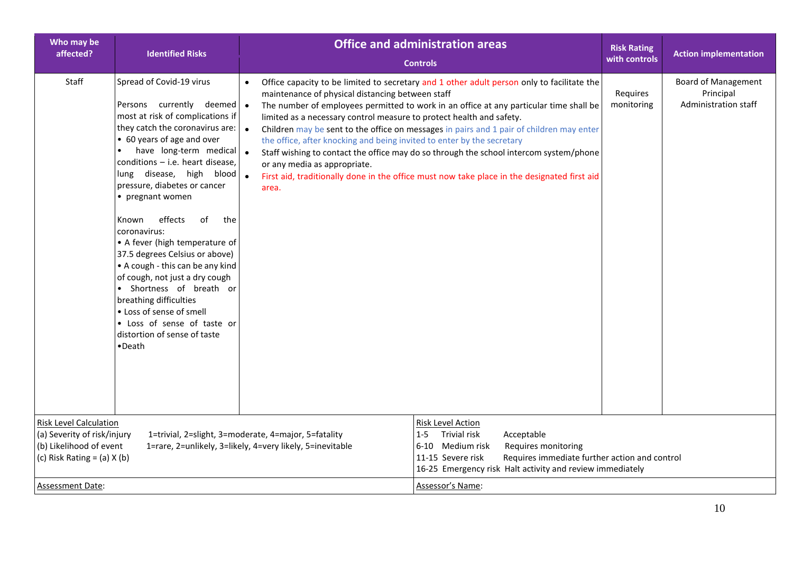| Who may be<br>affected?                                                                                                                                                                                                                         | <b>Identified Risks</b>                                                                                                                                                                                                                                                                                                                                                                                                                                                                                                                                                                                                                                         | <b>Office and administration areas</b><br><b>Controls</b>                                                                                                                                                                                                                                                                                                                                                                                                                                                                                                                                                                                                                                                                                                                                 |                                                                                                                                                                                                                                                     | <b>Risk Rating</b><br>with controls | <b>Action implementation</b>                                    |
|-------------------------------------------------------------------------------------------------------------------------------------------------------------------------------------------------------------------------------------------------|-----------------------------------------------------------------------------------------------------------------------------------------------------------------------------------------------------------------------------------------------------------------------------------------------------------------------------------------------------------------------------------------------------------------------------------------------------------------------------------------------------------------------------------------------------------------------------------------------------------------------------------------------------------------|-------------------------------------------------------------------------------------------------------------------------------------------------------------------------------------------------------------------------------------------------------------------------------------------------------------------------------------------------------------------------------------------------------------------------------------------------------------------------------------------------------------------------------------------------------------------------------------------------------------------------------------------------------------------------------------------------------------------------------------------------------------------------------------------|-----------------------------------------------------------------------------------------------------------------------------------------------------------------------------------------------------------------------------------------------------|-------------------------------------|-----------------------------------------------------------------|
| Staff                                                                                                                                                                                                                                           | Spread of Covid-19 virus<br>Persons currently deemed<br>most at risk of complications if<br>they catch the coronavirus are:<br>• 60 years of age and over<br>have long-term medical<br>$conditions - i.e.$ heart disease,<br>lung disease, high blood<br>pressure, diabetes or cancer<br>• pregnant women<br>effects<br>of<br>Known<br>the<br>coronavirus:<br>• A fever (high temperature of<br>37.5 degrees Celsius or above)<br>• A cough - this can be any kind<br>of cough, not just a dry cough<br>• Shortness of breath or<br>breathing difficulties<br>• Loss of sense of smell<br>• Loss of sense of taste or<br>distortion of sense of taste<br>•Death | Office capacity to be limited to secretary and 1 other adult person only to facilitate the<br>$\bullet$<br>maintenance of physical distancing between staff<br>$\bullet$<br>The number of employees permitted to work in an office at any particular time shall be<br>limited as a necessary control measure to protect health and safety.<br>$\bullet$<br>Children may be sent to the office on messages in pairs and 1 pair of children may enter<br>the office, after knocking and being invited to enter by the secretary<br>$\bullet$<br>Staff wishing to contact the office may do so through the school intercom system/phone<br>or any media as appropriate.<br>$\bullet$<br>First aid, traditionally done in the office must now take place in the designated first aid<br>area. |                                                                                                                                                                                                                                                     | Requires<br>monitoring              | <b>Board of Management</b><br>Principal<br>Administration staff |
| <b>Risk Level Calculation</b><br>(a) Severity of risk/injury<br>1=trivial, 2=slight, 3=moderate, 4=major, 5=fatality<br>(b) Likelihood of event<br>1=rare, 2=unlikely, 3=likely, 4=very likely, 5=inevitable<br>(c) Risk Rating = $(a)$ X $(b)$ |                                                                                                                                                                                                                                                                                                                                                                                                                                                                                                                                                                                                                                                                 | $1 - 5$<br>6-10                                                                                                                                                                                                                                                                                                                                                                                                                                                                                                                                                                                                                                                                                                                                                                           | <b>Risk Level Action</b><br>Trivial risk<br>Acceptable<br>Medium risk<br>Requires monitoring<br>11-15 Severe risk<br>Requires immediate further action and control<br>16-25 Emergency risk Halt activity and review immediately<br>Assessor's Name: |                                     |                                                                 |
| Assessment Date:                                                                                                                                                                                                                                |                                                                                                                                                                                                                                                                                                                                                                                                                                                                                                                                                                                                                                                                 |                                                                                                                                                                                                                                                                                                                                                                                                                                                                                                                                                                                                                                                                                                                                                                                           |                                                                                                                                                                                                                                                     |                                     |                                                                 |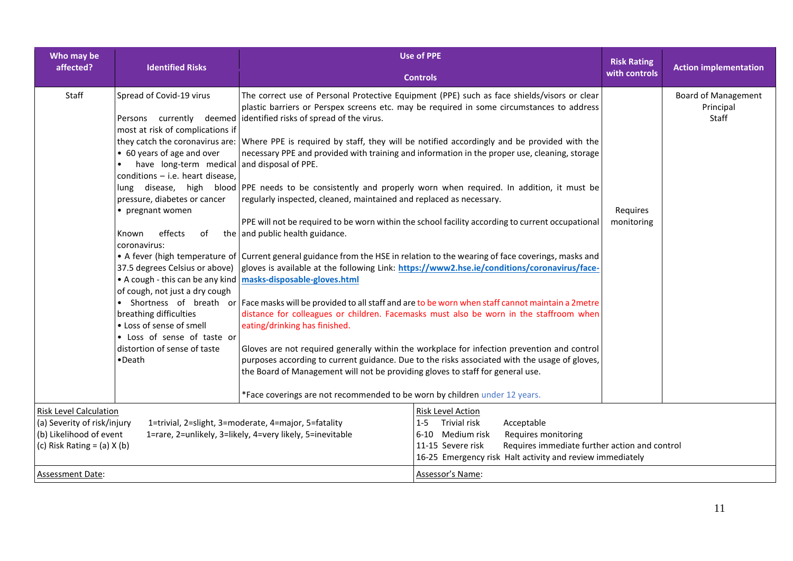| Who may be<br><b>Identified Risks</b><br>affected?                                                                                                                                                                                              |                                                                                                                                                                                                                                                                                                                                                                                                                                                                                                                                                                               | <b>Use of PPE</b>                                                                                                                                                                                                                                                                                                                                                                                                                                                                                                                                                                                                                                                                                                                                                                                                                                                                                                                                                                                                                                                                                                                                                                                                                                                                                                                                                                                                                                                                                                                                                                                                                                         |                        | <b>Action implementation</b>                     |
|-------------------------------------------------------------------------------------------------------------------------------------------------------------------------------------------------------------------------------------------------|-------------------------------------------------------------------------------------------------------------------------------------------------------------------------------------------------------------------------------------------------------------------------------------------------------------------------------------------------------------------------------------------------------------------------------------------------------------------------------------------------------------------------------------------------------------------------------|-----------------------------------------------------------------------------------------------------------------------------------------------------------------------------------------------------------------------------------------------------------------------------------------------------------------------------------------------------------------------------------------------------------------------------------------------------------------------------------------------------------------------------------------------------------------------------------------------------------------------------------------------------------------------------------------------------------------------------------------------------------------------------------------------------------------------------------------------------------------------------------------------------------------------------------------------------------------------------------------------------------------------------------------------------------------------------------------------------------------------------------------------------------------------------------------------------------------------------------------------------------------------------------------------------------------------------------------------------------------------------------------------------------------------------------------------------------------------------------------------------------------------------------------------------------------------------------------------------------------------------------------------------------|------------------------|--------------------------------------------------|
|                                                                                                                                                                                                                                                 |                                                                                                                                                                                                                                                                                                                                                                                                                                                                                                                                                                               | <b>Controls</b>                                                                                                                                                                                                                                                                                                                                                                                                                                                                                                                                                                                                                                                                                                                                                                                                                                                                                                                                                                                                                                                                                                                                                                                                                                                                                                                                                                                                                                                                                                                                                                                                                                           | with controls          |                                                  |
| Staff                                                                                                                                                                                                                                           | Spread of Covid-19 virus<br>Persons currently deemed<br>most at risk of complications if<br>• 60 years of age and over<br>have long-term medical and disposal of PPE.<br>conditions $-$ i.e. heart disease,<br>pressure, diabetes or cancer<br>• pregnant women<br>effects<br>of<br>Known<br>coronavirus:<br>37.5 degrees Celsius or above)<br>• A cough - this can be any kind masks-disposable-gloves.html<br>of cough, not just a dry cough<br>breathing difficulties<br>• Loss of sense of smell<br>• Loss of sense of taste or<br>distortion of sense of taste<br>•Death | The correct use of Personal Protective Equipment (PPE) such as face shields/visors or clear<br>plastic barriers or Perspex screens etc. may be required in some circumstances to address<br>identified risks of spread of the virus.<br>they catch the coronavirus are: Where PPE is required by staff, they will be notified accordingly and be provided with the<br>necessary PPE and provided with training and information in the proper use, cleaning, storage<br>lung disease, high blood PPE needs to be consistently and properly worn when required. In addition, it must be<br>regularly inspected, cleaned, maintained and replaced as necessary.<br>PPE will not be required to be worn within the school facility according to current occupational<br>the and public health guidance.<br>• A fever (high temperature of Current general guidance from the HSE in relation to the wearing of face coverings, masks and<br>gloves is available at the following Link: https://www2.hse.ie/conditions/coronavirus/face-<br>• Shortness of breath or Face masks will be provided to all staff and are to be worn when staff cannot maintain a 2metre<br>distance for colleagues or children. Facemasks must also be worn in the staffroom when<br>eating/drinking has finished.<br>Gloves are not required generally within the workplace for infection prevention and control<br>purposes according to current guidance. Due to the risks associated with the usage of gloves,<br>the Board of Management will not be providing gloves to staff for general use.<br>*Face coverings are not recommended to be worn by children under 12 years. | Requires<br>monitoring | <b>Board of Management</b><br>Principal<br>Staff |
| <b>Risk Level Calculation</b><br>(a) Severity of risk/injury<br>1=trivial, 2=slight, 3=moderate, 4=major, 5=fatality<br>(b) Likelihood of event<br>1=rare, 2=unlikely, 3=likely, 4=very likely, 5=inevitable<br>(c) Risk Rating = $(a)$ X $(b)$ |                                                                                                                                                                                                                                                                                                                                                                                                                                                                                                                                                                               | <b>Risk Level Action</b><br><b>Trivial risk</b><br>Acceptable<br>$1 - 5$<br>6-10 Medium risk<br>Requires monitoring<br>Requires immediate further action and control<br>11-15 Severe risk<br>16-25 Emergency risk Halt activity and review immediately                                                                                                                                                                                                                                                                                                                                                                                                                                                                                                                                                                                                                                                                                                                                                                                                                                                                                                                                                                                                                                                                                                                                                                                                                                                                                                                                                                                                    |                        |                                                  |
| Assessment Date:                                                                                                                                                                                                                                |                                                                                                                                                                                                                                                                                                                                                                                                                                                                                                                                                                               | Assessor's Name:                                                                                                                                                                                                                                                                                                                                                                                                                                                                                                                                                                                                                                                                                                                                                                                                                                                                                                                                                                                                                                                                                                                                                                                                                                                                                                                                                                                                                                                                                                                                                                                                                                          |                        |                                                  |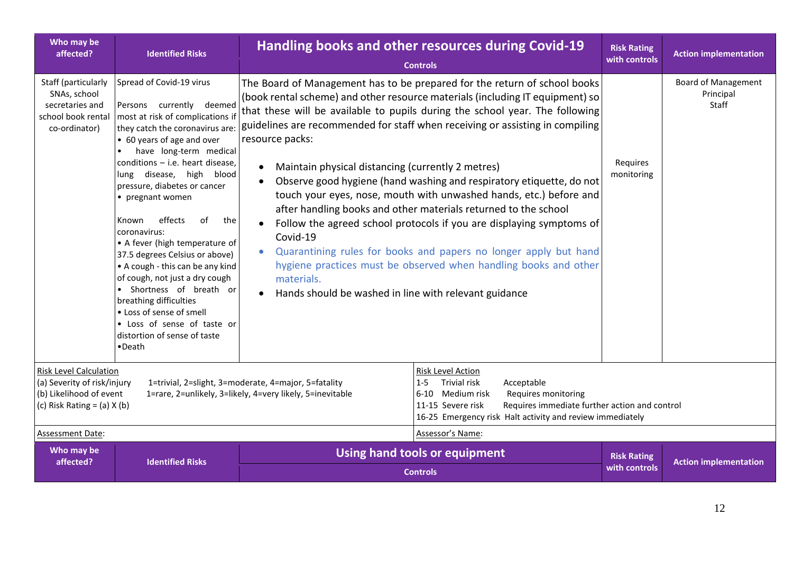| Who may be<br>affected?                                                                                                    | <b>Identified Risks</b>                                                                                                                                                                                                                                                                                                                                                                                                                                                                                                                                                                                                                                                     | Handling books and other resources during Covid-19<br><b>Controls</b>                                                                                                                                                                                                                                                                                                                                                                                                                                                                                                                                                                                                                                                                                                                                                                                                                                                   | <b>Risk Rating</b><br>with controls | <b>Action implementation</b>                     |
|----------------------------------------------------------------------------------------------------------------------------|-----------------------------------------------------------------------------------------------------------------------------------------------------------------------------------------------------------------------------------------------------------------------------------------------------------------------------------------------------------------------------------------------------------------------------------------------------------------------------------------------------------------------------------------------------------------------------------------------------------------------------------------------------------------------------|-------------------------------------------------------------------------------------------------------------------------------------------------------------------------------------------------------------------------------------------------------------------------------------------------------------------------------------------------------------------------------------------------------------------------------------------------------------------------------------------------------------------------------------------------------------------------------------------------------------------------------------------------------------------------------------------------------------------------------------------------------------------------------------------------------------------------------------------------------------------------------------------------------------------------|-------------------------------------|--------------------------------------------------|
| Staff (particularly<br>SNAs, school<br>secretaries and<br>school book rental<br>co-ordinator)                              | Spread of Covid-19 virus<br>Persons currently deemed<br>most at risk of complications if<br>they catch the coronavirus are:<br>• 60 years of age and over<br>have long-term medical<br>$conditions - i.e.$ heart disease,<br>lung disease, high<br>blood<br>pressure, diabetes or cancer<br>• pregnant women<br>effects<br>of<br>the<br>Known<br>coronavirus:<br>• A fever (high temperature of<br>37.5 degrees Celsius or above)<br>• A cough - this can be any kind<br>of cough, not just a dry cough<br>• Shortness of breath or<br>breathing difficulties<br>• Loss of sense of smell<br>• Loss of sense of taste or<br>distortion of sense of taste<br>$\bullet$ Death | The Board of Management has to be prepared for the return of school books<br>(book rental scheme) and other resource materials (including IT equipment) so<br>that these will be available to pupils during the school year. The following<br>guidelines are recommended for staff when receiving or assisting in compiling<br>resource packs:<br>Maintain physical distancing (currently 2 metres)<br>Observe good hygiene (hand washing and respiratory etiquette, do not<br>touch your eyes, nose, mouth with unwashed hands, etc.) before and<br>after handling books and other materials returned to the school<br>Follow the agreed school protocols if you are displaying symptoms of<br>Covid-19<br>Quarantining rules for books and papers no longer apply but hand<br>hygiene practices must be observed when handling books and other<br>materials.<br>Hands should be washed in line with relevant guidance | Requires<br>monitoring              | <b>Board of Management</b><br>Principal<br>Staff |
| <b>Risk Level Calculation</b><br>(a) Severity of risk/injury<br>(b) Likelihood of event<br>(c) Risk Rating = $(a)$ X $(b)$ |                                                                                                                                                                                                                                                                                                                                                                                                                                                                                                                                                                                                                                                                             | Risk Level Action<br>1=trivial, 2=slight, 3=moderate, 4=major, 5=fatality<br>Trivial risk<br>Acceptable<br>$1 - 5$<br>1=rare, 2=unlikely, 3=likely, 4=very likely, 5=inevitable<br>6-10 Medium risk<br>Requires monitoring<br>11-15 Severe risk<br>Requires immediate further action and control<br>16-25 Emergency risk Halt activity and review immediately                                                                                                                                                                                                                                                                                                                                                                                                                                                                                                                                                           |                                     |                                                  |
| Assessment Date:                                                                                                           |                                                                                                                                                                                                                                                                                                                                                                                                                                                                                                                                                                                                                                                                             | Assessor's Name:                                                                                                                                                                                                                                                                                                                                                                                                                                                                                                                                                                                                                                                                                                                                                                                                                                                                                                        |                                     |                                                  |
| Who may be<br>affected?                                                                                                    | <b>Identified Risks</b>                                                                                                                                                                                                                                                                                                                                                                                                                                                                                                                                                                                                                                                     | Using hand tools or equipment<br><b>Controls</b>                                                                                                                                                                                                                                                                                                                                                                                                                                                                                                                                                                                                                                                                                                                                                                                                                                                                        | <b>Risk Rating</b><br>with controls | <b>Action implementation</b>                     |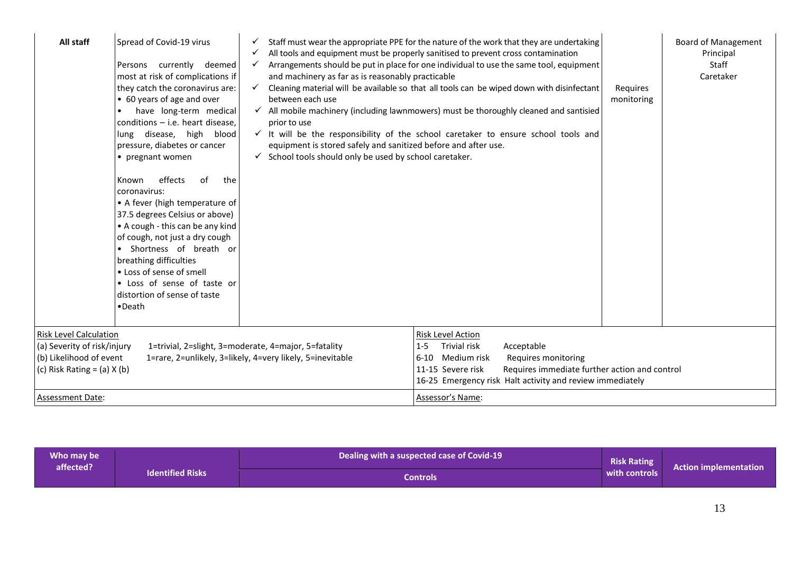| All staff                                                                                                                  | Spread of Covid-19 virus<br>Persons currently deemed<br>most at risk of complications if<br>they catch the coronavirus are:<br>• 60 years of age and over<br>have long-term medical<br>conditions - i.e. heart disease.<br>lung disease, high blood<br>pressure, diabetes or cancer<br>• pregnant women<br>effects<br>of<br>the<br>Known<br>coronavirus:<br>• A fever (high temperature of<br>37.5 degrees Celsius or above)<br>• A cough - this can be any kind<br>of cough, not just a dry cough<br>• Shortness of breath or<br>breathing difficulties<br>• Loss of sense of smell<br>• Loss of sense of taste or<br>distortion of sense of taste<br>•Death | $\checkmark$<br>✓<br>and machinery as far as is reasonably practicable<br>$\checkmark$<br>between each use<br>prior to use<br>equipment is stored safely and sanitized before and after use.<br>$\checkmark$ School tools should only be used by school caretaker. | Staff must wear the appropriate PPE for the nature of the work that they are undertaking<br>All tools and equipment must be properly sanitised to prevent cross contamination<br>Arrangements should be put in place for one individual to use the same tool, equipment<br>Cleaning material will be available so that all tools can be wiped down with disinfectant<br>$\checkmark$ All mobile machinery (including lawnmowers) must be thoroughly cleaned and santisied<br>$\checkmark$ It will be the responsibility of the school caretaker to ensure school tools and | Requires<br>monitoring | <b>Board of Management</b><br>Principal<br>Staff<br>Caretaker |
|----------------------------------------------------------------------------------------------------------------------------|---------------------------------------------------------------------------------------------------------------------------------------------------------------------------------------------------------------------------------------------------------------------------------------------------------------------------------------------------------------------------------------------------------------------------------------------------------------------------------------------------------------------------------------------------------------------------------------------------------------------------------------------------------------|--------------------------------------------------------------------------------------------------------------------------------------------------------------------------------------------------------------------------------------------------------------------|----------------------------------------------------------------------------------------------------------------------------------------------------------------------------------------------------------------------------------------------------------------------------------------------------------------------------------------------------------------------------------------------------------------------------------------------------------------------------------------------------------------------------------------------------------------------------|------------------------|---------------------------------------------------------------|
| <b>Risk Level Calculation</b><br>(a) Severity of risk/injury<br>(b) Likelihood of event<br>(c) Risk Rating $=$ (a) $X$ (b) |                                                                                                                                                                                                                                                                                                                                                                                                                                                                                                                                                                                                                                                               | 1=trivial, 2=slight, 3=moderate, 4=major, 5=fatality<br>1=rare, 2=unlikely, 3=likely, 4=very likely, 5=inevitable                                                                                                                                                  | Risk Level Action<br>Trivial risk<br>Acceptable<br>$1 - 5$<br>6-10 Medium risk<br>Requires monitoring<br>Requires immediate further action and control<br>11-15 Severe risk<br>16-25 Emergency risk Halt activity and review immediately                                                                                                                                                                                                                                                                                                                                   |                        |                                                               |
| <b>Assessment Date:</b>                                                                                                    |                                                                                                                                                                                                                                                                                                                                                                                                                                                                                                                                                                                                                                                               |                                                                                                                                                                                                                                                                    | Assessor's Name:                                                                                                                                                                                                                                                                                                                                                                                                                                                                                                                                                           |                        |                                                               |

| Who may be |                         | Dealing with a suspected case of Covid-19 | <b>Risk Rating</b> |                              |
|------------|-------------------------|-------------------------------------------|--------------------|------------------------------|
| affected?  | <b>Identified Risks</b> | Controls                                  | with controls      | <b>Action implementation</b> |
|            |                         |                                           |                    |                              |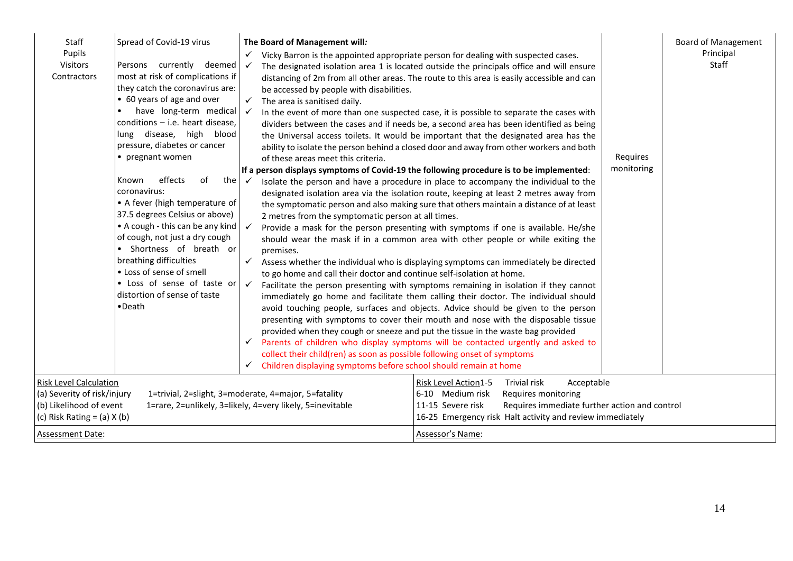| Staff<br>Pupils<br>Visitors<br>Contractors                                                                                 | Spread of Covid-19 virus<br>Persons currently deemed<br>most at risk of complications if<br>they catch the coronavirus are:<br>• 60 years of age and over<br>have long-term medical<br>conditions $-$ i.e. heart disease,<br>lung disease, high blood<br>pressure, diabetes or cancer<br>• pregnant women<br>of<br>the<br>effects<br>Known<br>coronavirus:<br>• A fever (high temperature of<br>37.5 degrees Celsius or above)<br>• A cough - this can be any kind<br>of cough, not just a dry cough<br>· Shortness of breath or<br>breathing difficulties<br>• Loss of sense of smell<br>• Loss of sense of taste or<br>distortion of sense of taste<br>$\bullet$ Death | The Board of Management will:<br>✓<br>$\checkmark$<br>be accessed by people with disabilities.<br>The area is sanitised daily.<br>$\checkmark$<br>$\checkmark$<br>of these areas meet this criteria.<br>$\checkmark$<br>2 metres from the symptomatic person at all times.<br>premises.<br>to go home and call their doctor and continue self-isolation at home.<br>✓<br>collect their child(ren) as soon as possible following onset of symptoms<br>Children displaying symptoms before school should remain at home<br>✓ | Vicky Barron is the appointed appropriate person for dealing with suspected cases.<br>The designated isolation area 1 is located outside the principals office and will ensure<br>distancing of 2m from all other areas. The route to this area is easily accessible and can<br>In the event of more than one suspected case, it is possible to separate the cases with<br>dividers between the cases and if needs be, a second area has been identified as being<br>the Universal access toilets. It would be important that the designated area has the<br>ability to isolate the person behind a closed door and away from other workers and both<br>If a person displays symptoms of Covid-19 the following procedure is to be implemented:<br>Isolate the person and have a procedure in place to accompany the individual to the<br>designated isolation area via the isolation route, keeping at least 2 metres away from<br>the symptomatic person and also making sure that others maintain a distance of at least<br>Provide a mask for the person presenting with symptoms if one is available. He/she<br>should wear the mask if in a common area with other people or while exiting the<br>Assess whether the individual who is displaying symptoms can immediately be directed<br>Facilitate the person presenting with symptoms remaining in isolation if they cannot<br>immediately go home and facilitate them calling their doctor. The individual should<br>avoid touching people, surfaces and objects. Advice should be given to the person<br>presenting with symptoms to cover their mouth and nose with the disposable tissue<br>provided when they cough or sneeze and put the tissue in the waste bag provided<br>$\checkmark$ Parents of children who display symptoms will be contacted urgently and asked to | Requires<br>monitoring | <b>Board of Management</b><br>Principal<br>Staff |
|----------------------------------------------------------------------------------------------------------------------------|--------------------------------------------------------------------------------------------------------------------------------------------------------------------------------------------------------------------------------------------------------------------------------------------------------------------------------------------------------------------------------------------------------------------------------------------------------------------------------------------------------------------------------------------------------------------------------------------------------------------------------------------------------------------------|----------------------------------------------------------------------------------------------------------------------------------------------------------------------------------------------------------------------------------------------------------------------------------------------------------------------------------------------------------------------------------------------------------------------------------------------------------------------------------------------------------------------------|-------------------------------------------------------------------------------------------------------------------------------------------------------------------------------------------------------------------------------------------------------------------------------------------------------------------------------------------------------------------------------------------------------------------------------------------------------------------------------------------------------------------------------------------------------------------------------------------------------------------------------------------------------------------------------------------------------------------------------------------------------------------------------------------------------------------------------------------------------------------------------------------------------------------------------------------------------------------------------------------------------------------------------------------------------------------------------------------------------------------------------------------------------------------------------------------------------------------------------------------------------------------------------------------------------------------------------------------------------------------------------------------------------------------------------------------------------------------------------------------------------------------------------------------------------------------------------------------------------------------------------------------------------------------------------------------------------------------------------------------------------------------------------------------------------------------------------------------|------------------------|--------------------------------------------------|
| <b>Risk Level Calculation</b><br>(a) Severity of risk/injury<br>(b) Likelihood of event<br>(c) Risk Rating = $(a)$ X $(b)$ |                                                                                                                                                                                                                                                                                                                                                                                                                                                                                                                                                                                                                                                                          | 1=trivial, 2=slight, 3=moderate, 4=major, 5=fatality<br>1=rare, 2=unlikely, 3=likely, 4=very likely, 5=inevitable                                                                                                                                                                                                                                                                                                                                                                                                          | Risk Level Action1-5<br><b>Trivial risk</b><br>Acceptable<br>6-10 Medium risk<br>Requires monitoring<br>11-15 Severe risk<br>Requires immediate further action and control<br>16-25 Emergency risk Halt activity and review immediately                                                                                                                                                                                                                                                                                                                                                                                                                                                                                                                                                                                                                                                                                                                                                                                                                                                                                                                                                                                                                                                                                                                                                                                                                                                                                                                                                                                                                                                                                                                                                                                                   |                        |                                                  |
| <b>Assessment Date:</b>                                                                                                    |                                                                                                                                                                                                                                                                                                                                                                                                                                                                                                                                                                                                                                                                          |                                                                                                                                                                                                                                                                                                                                                                                                                                                                                                                            | Assessor's Name:                                                                                                                                                                                                                                                                                                                                                                                                                                                                                                                                                                                                                                                                                                                                                                                                                                                                                                                                                                                                                                                                                                                                                                                                                                                                                                                                                                                                                                                                                                                                                                                                                                                                                                                                                                                                                          |                        |                                                  |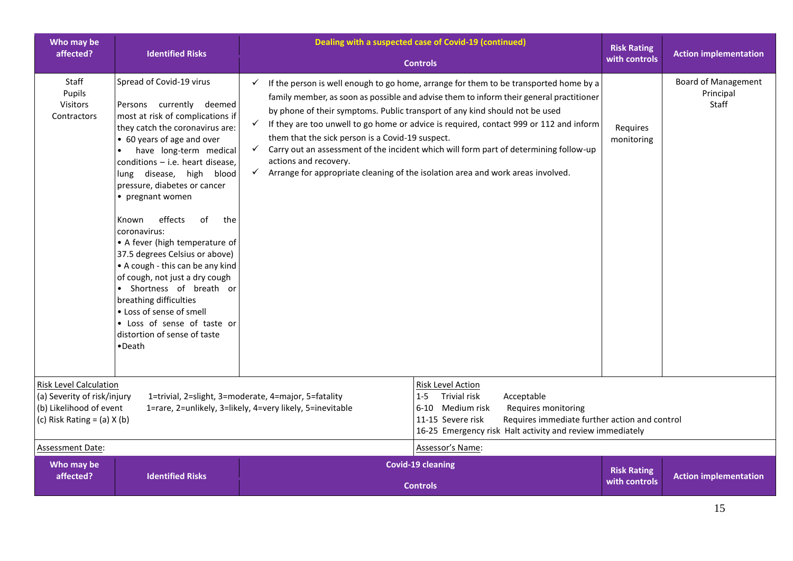| Who may be<br>affected?                                                                                                                                                                                                                                             | <b>Identified Risks</b>                                                                                                                                                                                                                                                                                                                                                                                                                                                                                                                                                                                                                                                  | Dealing with a suspected case of Covid-19 (continued)<br><b>Controls</b>                                                                                                                                                                                                                                                                                                                                                                                                                                                                                                                                                                                                           |                                                                                                                                                                                                                                                          | <b>Risk Rating</b><br>with controls | <b>Action implementation</b>                     |
|---------------------------------------------------------------------------------------------------------------------------------------------------------------------------------------------------------------------------------------------------------------------|--------------------------------------------------------------------------------------------------------------------------------------------------------------------------------------------------------------------------------------------------------------------------------------------------------------------------------------------------------------------------------------------------------------------------------------------------------------------------------------------------------------------------------------------------------------------------------------------------------------------------------------------------------------------------|------------------------------------------------------------------------------------------------------------------------------------------------------------------------------------------------------------------------------------------------------------------------------------------------------------------------------------------------------------------------------------------------------------------------------------------------------------------------------------------------------------------------------------------------------------------------------------------------------------------------------------------------------------------------------------|----------------------------------------------------------------------------------------------------------------------------------------------------------------------------------------------------------------------------------------------------------|-------------------------------------|--------------------------------------------------|
| Staff<br>Pupils<br><b>Visitors</b><br>Contractors                                                                                                                                                                                                                   | Spread of Covid-19 virus<br>Persons currently deemed<br>most at risk of complications if<br>they catch the coronavirus are:<br>• 60 years of age and over<br>have long-term medical<br>conditions $-$ i.e. heart disease,<br>lung disease, high blood<br>pressure, diabetes or cancer<br>• pregnant women<br>effects<br>the<br>Known<br>of<br>coronavirus:<br>• A fever (high temperature of<br>37.5 degrees Celsius or above)<br>• A cough - this can be any kind<br>of cough, not just a dry cough<br>• Shortness of breath or<br>breathing difficulties<br>• Loss of sense of smell<br>• Loss of sense of taste or<br>distortion of sense of taste<br>$\bullet$ Death | If the person is well enough to go home, arrange for them to be transported home by a<br>$\checkmark$<br>family member, as soon as possible and advise them to inform their general practitioner<br>by phone of their symptoms. Public transport of any kind should not be used<br>$\checkmark$<br>If they are too unwell to go home or advice is required, contact 999 or 112 and inform<br>them that the sick person is a Covid-19 suspect.<br>Carry out an assessment of the incident which will form part of determining follow-up<br>$\checkmark$<br>actions and recovery.<br>Arrange for appropriate cleaning of the isolation area and work areas involved.<br>$\checkmark$ |                                                                                                                                                                                                                                                          | Requires<br>monitoring              | <b>Board of Management</b><br>Principal<br>Staff |
| <b>Risk Level Calculation</b><br>(a) Severity of risk/injury<br>1=trivial, 2=slight, 3=moderate, 4=major, 5=fatality<br>(b) Likelihood of event<br>1=rare, 2=unlikely, 3=likely, 4=very likely, 5=inevitable<br>(c) Risk Rating = $(a)$ X $(b)$<br>Assessment Date: |                                                                                                                                                                                                                                                                                                                                                                                                                                                                                                                                                                                                                                                                          | $1 - 5$                                                                                                                                                                                                                                                                                                                                                                                                                                                                                                                                                                                                                                                                            | Risk Level Action<br><b>Trivial risk</b><br>Acceptable<br>6-10 Medium risk<br>Requires monitoring<br>Requires immediate further action and control<br>11-15 Severe risk<br>16-25 Emergency risk Halt activity and review immediately<br>Assessor's Name: |                                     |                                                  |
| Who may be<br>affected?                                                                                                                                                                                                                                             | <b>Identified Risks</b>                                                                                                                                                                                                                                                                                                                                                                                                                                                                                                                                                                                                                                                  | <b>Covid-19 cleaning</b><br><b>Controls</b>                                                                                                                                                                                                                                                                                                                                                                                                                                                                                                                                                                                                                                        |                                                                                                                                                                                                                                                          | <b>Risk Rating</b><br>with controls | <b>Action implementation</b>                     |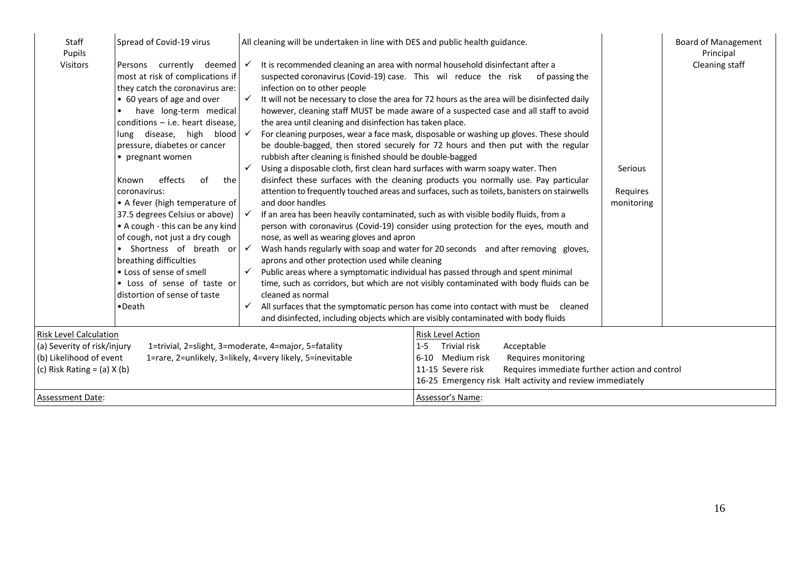| Staff<br>Pupils<br>Visitors                                                                                                                                                                                                                                                                                                              | Spread of Covid-19 virus<br>Persons currently deemed<br>most at risk of complications if<br>they catch the coronavirus are:<br>• 60 years of age and over<br>have long-term medical<br>conditions - i.e. heart disease.<br>lung disease, high blood<br>pressure, diabetes or cancer<br>• pregnant women<br>effects<br>of<br>the<br>Known<br>coronavirus:<br>• A fever (high temperature of<br>37.5 degrees Celsius or above)<br>• A cough - this can be any kind<br>of cough, not just a dry cough<br>• Shortness of breath or<br>breathing difficulties<br>• Loss of sense of smell<br>• Loss of sense of taste or<br>distortion of sense of taste<br>•Death | All cleaning will be undertaken in line with DES and public health guidance.<br>It is recommended cleaning an area with normal household disinfectant after a<br>$\checkmark$<br>suspected coronavirus (Covid-19) case. This wil reduce the risk<br>infection on to other people<br>✓<br>the area until cleaning and disinfection has taken place.<br>rubbish after cleaning is finished should be double-bagged<br>Using a disposable cloth, first clean hard surfaces with warm soapy water. Then<br>and door handles<br>nose, as well as wearing gloves and apron<br>$\checkmark$<br>aprons and other protection used while cleaning<br>cleaned as normal | of passing the<br>It will not be necessary to close the area for 72 hours as the area will be disinfected daily<br>however, cleaning staff MUST be made aware of a suspected case and all staff to avoid<br>For cleaning purposes, wear a face mask, disposable or washing up gloves. These should<br>be double-bagged, then stored securely for 72 hours and then put with the regular<br>disinfect these surfaces with the cleaning products you normally use. Pay particular<br>attention to frequently touched areas and surfaces, such as toilets, banisters on stairwells<br>If an area has been heavily contaminated, such as with visible bodily fluids, from a<br>person with coronavirus (Covid-19) consider using protection for the eyes, mouth and<br>Wash hands regularly with soap and water for 20 seconds and after removing gloves,<br>Public areas where a symptomatic individual has passed through and spent minimal<br>time, such as corridors, but which are not visibly contaminated with body fluids can be<br>All surfaces that the symptomatic person has come into contact with must be cleaned<br>and disinfected, including objects which are visibly contaminated with body fluids | <b>Board of Management</b><br>Principal<br>Cleaning staff<br>Serious<br>Requires<br>monitoring |
|------------------------------------------------------------------------------------------------------------------------------------------------------------------------------------------------------------------------------------------------------------------------------------------------------------------------------------------|---------------------------------------------------------------------------------------------------------------------------------------------------------------------------------------------------------------------------------------------------------------------------------------------------------------------------------------------------------------------------------------------------------------------------------------------------------------------------------------------------------------------------------------------------------------------------------------------------------------------------------------------------------------|--------------------------------------------------------------------------------------------------------------------------------------------------------------------------------------------------------------------------------------------------------------------------------------------------------------------------------------------------------------------------------------------------------------------------------------------------------------------------------------------------------------------------------------------------------------------------------------------------------------------------------------------------------------|-------------------------------------------------------------------------------------------------------------------------------------------------------------------------------------------------------------------------------------------------------------------------------------------------------------------------------------------------------------------------------------------------------------------------------------------------------------------------------------------------------------------------------------------------------------------------------------------------------------------------------------------------------------------------------------------------------------------------------------------------------------------------------------------------------------------------------------------------------------------------------------------------------------------------------------------------------------------------------------------------------------------------------------------------------------------------------------------------------------------------------------------------------------------------------------------------------------------|------------------------------------------------------------------------------------------------|
| <b>Risk Level Calculation</b><br>Risk Level Action<br>Trivial risk<br>(a) Severity of risk/injury<br>1=trivial, 2=slight, 3=moderate, 4=major, 5=fatality<br>$1 - 5$<br>(b) Likelihood of event<br>1=rare, 2=unlikely, 3=likely, 4=very likely, 5=inevitable<br>6-10 Medium risk<br>(c) Risk Rating = $(a)$ X $(b)$<br>11-15 Severe risk |                                                                                                                                                                                                                                                                                                                                                                                                                                                                                                                                                                                                                                                               | Acceptable<br>Requires monitoring<br>Requires immediate further action and control<br>16-25 Emergency risk Halt activity and review immediately                                                                                                                                                                                                                                                                                                                                                                                                                                                                                                              |                                                                                                                                                                                                                                                                                                                                                                                                                                                                                                                                                                                                                                                                                                                                                                                                                                                                                                                                                                                                                                                                                                                                                                                                                   |                                                                                                |
| <b>Assessment Date:</b>                                                                                                                                                                                                                                                                                                                  |                                                                                                                                                                                                                                                                                                                                                                                                                                                                                                                                                                                                                                                               |                                                                                                                                                                                                                                                                                                                                                                                                                                                                                                                                                                                                                                                              | Assessor's Name:                                                                                                                                                                                                                                                                                                                                                                                                                                                                                                                                                                                                                                                                                                                                                                                                                                                                                                                                                                                                                                                                                                                                                                                                  |                                                                                                |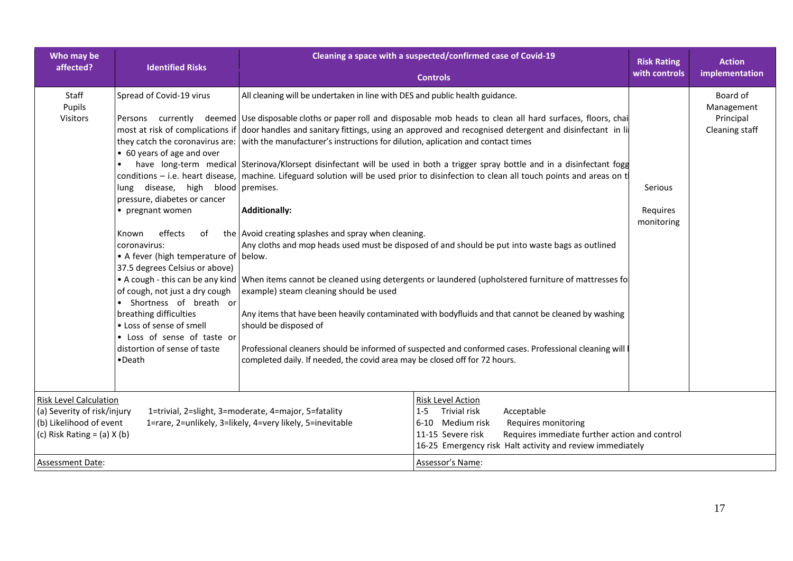| Who may be                                                                                                                 | <b>Identified Risks</b>                                                                                                                                                                                                                                                                                                                                                                                                                                            | Cleaning a space with a suspected/confirmed case of Covid-19                                                                                                                                                                                                                                                                                                                                                                                                                                                                                                                                                                                                                                                                                                                                                                                                                                                                                                                                                                                                                                                                                                                                                                                                                                                                                                                                                                                        |                                          | <b>Action</b>                                         |
|----------------------------------------------------------------------------------------------------------------------------|--------------------------------------------------------------------------------------------------------------------------------------------------------------------------------------------------------------------------------------------------------------------------------------------------------------------------------------------------------------------------------------------------------------------------------------------------------------------|-----------------------------------------------------------------------------------------------------------------------------------------------------------------------------------------------------------------------------------------------------------------------------------------------------------------------------------------------------------------------------------------------------------------------------------------------------------------------------------------------------------------------------------------------------------------------------------------------------------------------------------------------------------------------------------------------------------------------------------------------------------------------------------------------------------------------------------------------------------------------------------------------------------------------------------------------------------------------------------------------------------------------------------------------------------------------------------------------------------------------------------------------------------------------------------------------------------------------------------------------------------------------------------------------------------------------------------------------------------------------------------------------------------------------------------------------------|------------------------------------------|-------------------------------------------------------|
| affected?                                                                                                                  |                                                                                                                                                                                                                                                                                                                                                                                                                                                                    | <b>Controls</b>                                                                                                                                                                                                                                                                                                                                                                                                                                                                                                                                                                                                                                                                                                                                                                                                                                                                                                                                                                                                                                                                                                                                                                                                                                                                                                                                                                                                                                     | with controls                            | implementation                                        |
| Staff<br>Pupils<br>Visitors                                                                                                | Spread of Covid-19 virus<br>• 60 years of age and over<br>lung disease, high blood premises.<br>pressure, diabetes or cancer<br>• pregnant women<br>effects<br>of<br>Known<br>coronavirus:<br>• A fever (high temperature of below.<br>37.5 degrees Celsius or above)<br>of cough, not just a dry cough<br>• Shortness of breath or<br>breathing difficulties<br>• Loss of sense of smell<br>• Loss of sense of taste or<br>distortion of sense of taste<br>•Death | All cleaning will be undertaken in line with DES and public health guidance.<br>Persons currently deemed Use disposable cloths or paper roll and disposable mob heads to clean all hard surfaces, floors, chai<br>most at risk of complications if door handles and sanitary fittings, using an approved and recognised detergent and disinfectant in li<br>they catch the coronavirus are: with the manufacturer's instructions for dilution, aplication and contact times<br>have long-term medical Sterinova/Klorsept disinfectant will be used in both a trigger spray bottle and in a disinfectant fogg<br>conditions – i.e. heart disease, machine. Lifeguard solution will be used prior to disinfection to clean all touch points and areas on t<br><b>Additionally:</b><br>the Avoid creating splashes and spray when cleaning.<br>Any cloths and mop heads used must be disposed of and should be put into waste bags as outlined<br>• A cough - this can be any kind When items cannot be cleaned using detergents or laundered (upholstered furniture of mattresses fo<br>example) steam cleaning should be used<br>Any items that have been heavily contaminated with bodyfluids and that cannot be cleaned by washing<br>should be disposed of<br>Professional cleaners should be informed of suspected and conformed cases. Professional cleaning will<br>completed daily. If needed, the covid area may be closed off for 72 hours. | <b>Serious</b><br>Requires<br>monitoring | Board of<br>Management<br>Principal<br>Cleaning staff |
| <b>Risk Level Calculation</b><br>(a) Severity of risk/injury<br>(b) Likelihood of event<br>(c) Risk Rating = $(a)$ X $(b)$ |                                                                                                                                                                                                                                                                                                                                                                                                                                                                    | Risk Level Action<br>Trivial risk<br>Acceptable<br>1=trivial, 2=slight, 3=moderate, 4=major, 5=fatality<br>$1 - 5$<br>1=rare, 2=unlikely, 3=likely, 4=very likely, 5=inevitable<br>6-10 Medium risk<br>Requires monitoring<br>Requires immediate further action and control<br>11-15 Severe risk<br>16-25 Emergency risk Halt activity and review immediately                                                                                                                                                                                                                                                                                                                                                                                                                                                                                                                                                                                                                                                                                                                                                                                                                                                                                                                                                                                                                                                                                       |                                          |                                                       |
| <b>Assessment Date:</b>                                                                                                    |                                                                                                                                                                                                                                                                                                                                                                                                                                                                    | Assessor's Name:                                                                                                                                                                                                                                                                                                                                                                                                                                                                                                                                                                                                                                                                                                                                                                                                                                                                                                                                                                                                                                                                                                                                                                                                                                                                                                                                                                                                                                    |                                          |                                                       |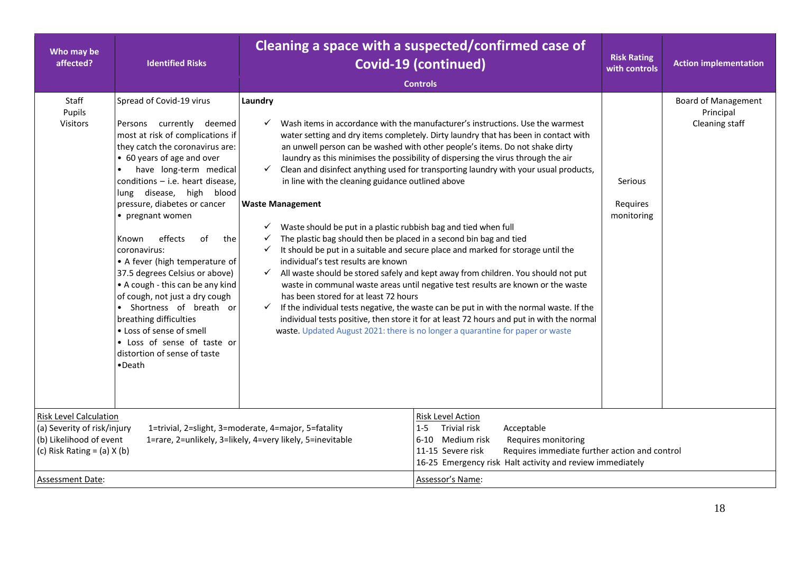| Who may be<br>affected?                                                                                                    | <b>Identified Risks</b>                                                                                                                                                                                                                                                                                                                                                                                                                                                                                                                                                                                                                                       |                                                                                                                                                                                                                                                                                                                                                       | Cleaning a space with a suspected/confirmed case of<br><b>Covid-19 (continued)</b><br><b>Controls</b>                                                                                                                                                                                                                                                                                                                                                                                                                                                                                                                                                                                                                                                                                                                                                                                                                                                                     | <b>Risk Rating</b><br>with controls | <b>Action implementation</b>                              |
|----------------------------------------------------------------------------------------------------------------------------|---------------------------------------------------------------------------------------------------------------------------------------------------------------------------------------------------------------------------------------------------------------------------------------------------------------------------------------------------------------------------------------------------------------------------------------------------------------------------------------------------------------------------------------------------------------------------------------------------------------------------------------------------------------|-------------------------------------------------------------------------------------------------------------------------------------------------------------------------------------------------------------------------------------------------------------------------------------------------------------------------------------------------------|---------------------------------------------------------------------------------------------------------------------------------------------------------------------------------------------------------------------------------------------------------------------------------------------------------------------------------------------------------------------------------------------------------------------------------------------------------------------------------------------------------------------------------------------------------------------------------------------------------------------------------------------------------------------------------------------------------------------------------------------------------------------------------------------------------------------------------------------------------------------------------------------------------------------------------------------------------------------------|-------------------------------------|-----------------------------------------------------------|
| Staff<br>Pupils<br>Visitors                                                                                                | Spread of Covid-19 virus<br>Persons currently deemed<br>most at risk of complications if<br>they catch the coronavirus are:<br>• 60 years of age and over<br>have long-term medical<br>conditions - i.e. heart disease,<br>lung disease, high blood<br>pressure, diabetes or cancer<br>• pregnant women<br>effects<br>of<br>the<br>Known<br>coronavirus:<br>• A fever (high temperature of<br>37.5 degrees Celsius or above)<br>• A cough - this can be any kind<br>of cough, not just a dry cough<br>• Shortness of breath or<br>breathing difficulties<br>• Loss of sense of smell<br>• Loss of sense of taste or<br>distortion of sense of taste<br>•Death | Laundry<br>in line with the cleaning guidance outlined above<br><b>Waste Management</b><br>Waste should be put in a plastic rubbish bag and tied when full<br>The plastic bag should then be placed in a second bin bag and tied<br>✓<br>$\checkmark$<br>individual's test results are known<br>has been stored for at least 72 hours<br>$\checkmark$ | Wash items in accordance with the manufacturer's instructions. Use the warmest<br>water setting and dry items completely. Dirty laundry that has been in contact with<br>an unwell person can be washed with other people's items. Do not shake dirty<br>laundry as this minimises the possibility of dispersing the virus through the air<br>Clean and disinfect anything used for transporting laundry with your usual products,<br>It should be put in a suitable and secure place and marked for storage until the<br>All waste should be stored safely and kept away from children. You should not put<br>waste in communal waste areas until negative test results are known or the waste<br>If the individual tests negative, the waste can be put in with the normal waste. If the<br>individual tests positive, then store it for at least 72 hours and put in with the normal<br>waste. Updated August 2021: there is no longer a quarantine for paper or waste | Serious<br>Requires<br>monitoring   | <b>Board of Management</b><br>Principal<br>Cleaning staff |
| <b>Risk Level Calculation</b><br>(a) Severity of risk/injury<br>(b) Likelihood of event<br>(c) Risk Rating = $(a)$ X $(b)$ |                                                                                                                                                                                                                                                                                                                                                                                                                                                                                                                                                                                                                                                               | 1=trivial, 2=slight, 3=moderate, 4=major, 5=fatality<br>1=rare, 2=unlikely, 3=likely, 4=very likely, 5=inevitable                                                                                                                                                                                                                                     | Risk Level Action<br>Trivial risk<br>Acceptable<br>$1 - 5$<br>Medium risk<br>Requires monitoring<br>6-10<br>11-15 Severe risk<br>Requires immediate further action and control<br>16-25 Emergency risk Halt activity and review immediately                                                                                                                                                                                                                                                                                                                                                                                                                                                                                                                                                                                                                                                                                                                               |                                     |                                                           |
| Assessment Date:                                                                                                           |                                                                                                                                                                                                                                                                                                                                                                                                                                                                                                                                                                                                                                                               |                                                                                                                                                                                                                                                                                                                                                       | Assessor's Name:                                                                                                                                                                                                                                                                                                                                                                                                                                                                                                                                                                                                                                                                                                                                                                                                                                                                                                                                                          |                                     |                                                           |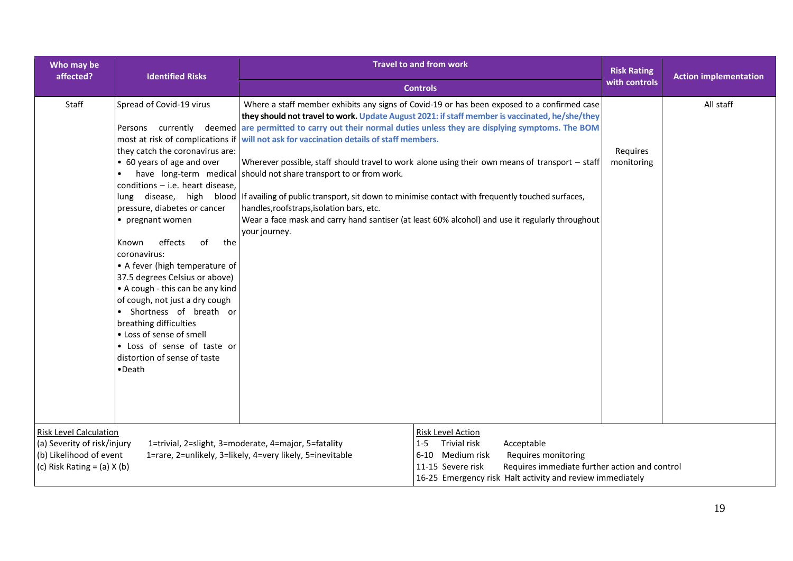| Who may be<br>affected?                                                                                                    | <b>Identified Risks</b>                                                                                                                                                                                                                                                                                                                                                                                                                                                                                                               | <b>Travel to and from work</b><br><b>Controls</b>                                                                                                                                                                                                                                                                                                                                                                                                                                                                                                                                                                                                                                   |                                                                                                                                                                                                                                          | <b>Risk Rating</b><br>with controls | <b>Action implementation</b> |
|----------------------------------------------------------------------------------------------------------------------------|---------------------------------------------------------------------------------------------------------------------------------------------------------------------------------------------------------------------------------------------------------------------------------------------------------------------------------------------------------------------------------------------------------------------------------------------------------------------------------------------------------------------------------------|-------------------------------------------------------------------------------------------------------------------------------------------------------------------------------------------------------------------------------------------------------------------------------------------------------------------------------------------------------------------------------------------------------------------------------------------------------------------------------------------------------------------------------------------------------------------------------------------------------------------------------------------------------------------------------------|------------------------------------------------------------------------------------------------------------------------------------------------------------------------------------------------------------------------------------------|-------------------------------------|------------------------------|
| Staff                                                                                                                      | Spread of Covid-19 virus<br>they catch the coronavirus are:<br>• 60 years of age and over<br>conditions - i.e. heart disease,<br>pressure, diabetes or cancer<br>• pregnant women<br>effects<br>the<br>Known<br>0f<br>coronavirus:<br>• A fever (high temperature of<br>37.5 degrees Celsius or above)<br>• A cough - this can be any kind<br>of cough, not just a dry cough<br>Shortness of breath or<br>breathing difficulties<br>• Loss of sense of smell<br>• Loss of sense of taste or<br>distortion of sense of taste<br>•Death | they should not travel to work. Update August 2021: if staff member is vaccinated, he/she/they<br>Persons currently deemed are permitted to carry out their normal duties unless they are displying symptoms. The BOM<br>most at risk of complications if will not ask for vaccination details of staff members.<br>Wherever possible, staff should travel to work alone using their own means of transport - staff<br>have long-term medical should not share transport to or from work.<br>lung disease, high blood If availing of public transport, sit down to minimise contact with frequently touched surfaces,<br>handles, roofstraps, isolation bars, etc.<br>your journey. | Where a staff member exhibits any signs of Covid-19 or has been exposed to a confirmed case<br>Wear a face mask and carry hand santiser (at least 60% alcohol) and use it regularly throughout                                           | Requires<br>monitoring              | All staff                    |
| <b>Risk Level Calculation</b><br>(a) Severity of risk/injury<br>(b) Likelihood of event<br>(c) Risk Rating = $(a)$ X $(b)$ |                                                                                                                                                                                                                                                                                                                                                                                                                                                                                                                                       | 1=trivial, 2=slight, 3=moderate, 4=major, 5=fatality<br>1=rare, 2=unlikely, 3=likely, 4=very likely, 5=inevitable                                                                                                                                                                                                                                                                                                                                                                                                                                                                                                                                                                   | Risk Level Action<br>Trivial risk<br>$1 - 5$<br>Acceptable<br>6-10 Medium risk<br>Requires monitoring<br>Requires immediate further action and control<br>11-15 Severe risk<br>16-25 Emergency risk Halt activity and review immediately |                                     |                              |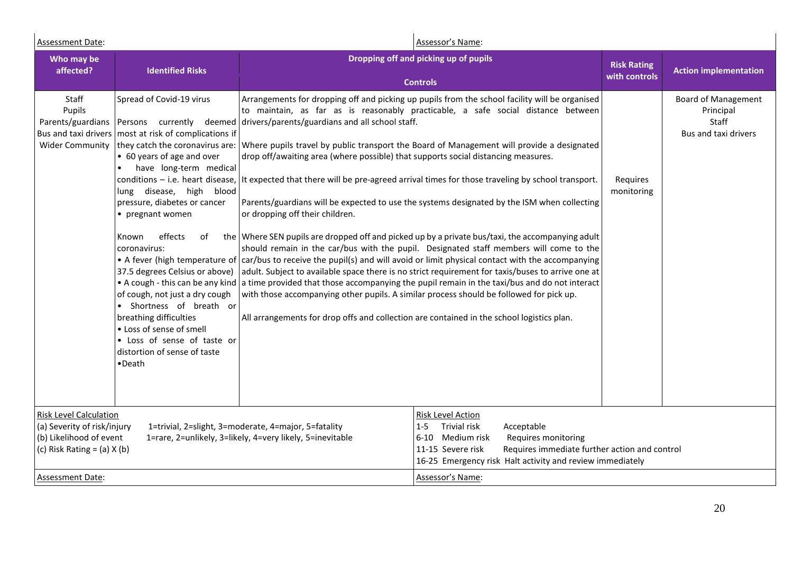| Assessment Date:                                                                                                                                                                                                                                | Assessor's Name:                                                                                                                                                                                                                                                                                                                                                                                                                                                                       |                                                                                                                                                                                                                                                                                                                                                                                          |                                                                                                                                                                                                                                                                                                                                                                                                                                                                                                                                                                                                                                                                                                                                                                                                                                                                                                                                                                                                                                                                                                                            |                                     |                                                                          |
|-------------------------------------------------------------------------------------------------------------------------------------------------------------------------------------------------------------------------------------------------|----------------------------------------------------------------------------------------------------------------------------------------------------------------------------------------------------------------------------------------------------------------------------------------------------------------------------------------------------------------------------------------------------------------------------------------------------------------------------------------|------------------------------------------------------------------------------------------------------------------------------------------------------------------------------------------------------------------------------------------------------------------------------------------------------------------------------------------------------------------------------------------|----------------------------------------------------------------------------------------------------------------------------------------------------------------------------------------------------------------------------------------------------------------------------------------------------------------------------------------------------------------------------------------------------------------------------------------------------------------------------------------------------------------------------------------------------------------------------------------------------------------------------------------------------------------------------------------------------------------------------------------------------------------------------------------------------------------------------------------------------------------------------------------------------------------------------------------------------------------------------------------------------------------------------------------------------------------------------------------------------------------------------|-------------------------------------|--------------------------------------------------------------------------|
| Who may be<br>affected?                                                                                                                                                                                                                         | <b>Identified Risks</b>                                                                                                                                                                                                                                                                                                                                                                                                                                                                |                                                                                                                                                                                                                                                                                                                                                                                          | Dropping off and picking up of pupils<br><b>Controls</b>                                                                                                                                                                                                                                                                                                                                                                                                                                                                                                                                                                                                                                                                                                                                                                                                                                                                                                                                                                                                                                                                   | <b>Risk Rating</b><br>with controls | <b>Action implementation</b>                                             |
| Staff<br>Pupils<br>Parents/guardians<br>Bus and taxi drivers<br><b>Wider Community</b>                                                                                                                                                          | Spread of Covid-19 virus<br>most at risk of complications if<br>• 60 years of age and over<br>have long-term medical<br>lung disease, high blood<br>pressure, diabetes or cancer<br>• pregnant women<br>effects<br>Known<br>of<br>coronavirus:<br>37.5 degrees Celsius or above)<br>of cough, not just a dry cough<br>• Shortness of breath or<br>breathing difficulties<br>• Loss of sense of smell<br>• Loss of sense of taste or<br>distortion of sense of taste<br>$\bullet$ Death | Persons currently deemed drivers/parents/guardians and all school staff.<br>drop off/awaiting area (where possible) that supports social distancing measures.<br>or dropping off their children.<br>with those accompanying other pupils. A similar process should be followed for pick up.<br>All arrangements for drop offs and collection are contained in the school logistics plan. | Arrangements for dropping off and picking up pupils from the school facility will be organised<br>to maintain, as far as is reasonably practicable, a safe social distance between<br>they catch the coronavirus are: Where pupils travel by public transport the Board of Management will provide a designated<br>conditions - i.e. heart disease, It expected that there will be pre-agreed arrival times for those traveling by school transport.<br>Parents/guardians will be expected to use the systems designated by the ISM when collecting<br>the Where SEN pupils are dropped off and picked up by a private bus/taxi, the accompanying adult<br>should remain in the car/bus with the pupil. Designated staff members will come to the<br>• A fever (high temperature of   car/bus to receive the pupil(s) and will avoid or limit physical contact with the accompanying<br>adult. Subject to available space there is no strict requirement for taxis/buses to arrive one at<br>• A cough - this can be any kind a time provided that those accompanying the pupil remain in the taxi/bus and do not interact | Requires<br>monitoring              | <b>Board of Management</b><br>Principal<br>Staff<br>Bus and taxi drivers |
| <b>Risk Level Calculation</b><br>(a) Severity of risk/injury<br>1=trivial, 2=slight, 3=moderate, 4=major, 5=fatality<br>(b) Likelihood of event<br>1=rare, 2=unlikely, 3=likely, 4=very likely, 5=inevitable<br>(c) Risk Rating = $(a)$ X $(b)$ |                                                                                                                                                                                                                                                                                                                                                                                                                                                                                        | <b>Risk Level Action</b><br>Trivial risk<br>$1 - 5$<br>Acceptable<br>6-10 Medium risk<br>Requires monitoring<br>Requires immediate further action and control<br>11-15 Severe risk<br>16-25 Emergency risk Halt activity and review immediately                                                                                                                                          |                                                                                                                                                                                                                                                                                                                                                                                                                                                                                                                                                                                                                                                                                                                                                                                                                                                                                                                                                                                                                                                                                                                            |                                     |                                                                          |
| <b>Assessment Date:</b>                                                                                                                                                                                                                         |                                                                                                                                                                                                                                                                                                                                                                                                                                                                                        |                                                                                                                                                                                                                                                                                                                                                                                          | Assessor's Name:                                                                                                                                                                                                                                                                                                                                                                                                                                                                                                                                                                                                                                                                                                                                                                                                                                                                                                                                                                                                                                                                                                           |                                     |                                                                          |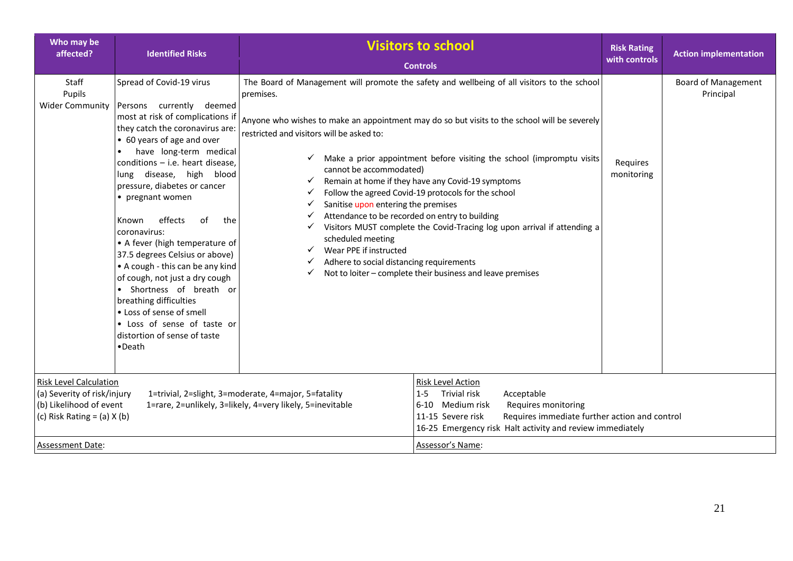| Who may be<br>affected?                                                                                                    | <b>Identified Risks</b>                                                                                                                                                                                                                                                                                                                                                                                                                                                                                                                                                                                                                                       | <b>Visitors to school</b>                                                                                                                                                                                                                                                            |                                                                                                                                                                                                                                                                                                                                                                                                                                                                                                                            | <b>Risk Rating</b>     | <b>Action implementation</b>            |
|----------------------------------------------------------------------------------------------------------------------------|---------------------------------------------------------------------------------------------------------------------------------------------------------------------------------------------------------------------------------------------------------------------------------------------------------------------------------------------------------------------------------------------------------------------------------------------------------------------------------------------------------------------------------------------------------------------------------------------------------------------------------------------------------------|--------------------------------------------------------------------------------------------------------------------------------------------------------------------------------------------------------------------------------------------------------------------------------------|----------------------------------------------------------------------------------------------------------------------------------------------------------------------------------------------------------------------------------------------------------------------------------------------------------------------------------------------------------------------------------------------------------------------------------------------------------------------------------------------------------------------------|------------------------|-----------------------------------------|
|                                                                                                                            |                                                                                                                                                                                                                                                                                                                                                                                                                                                                                                                                                                                                                                                               |                                                                                                                                                                                                                                                                                      | <b>Controls</b>                                                                                                                                                                                                                                                                                                                                                                                                                                                                                                            | with controls          |                                         |
| Staff<br>Pupils<br><b>Wider Community</b>                                                                                  | Spread of Covid-19 virus<br>Persons currently deemed<br>most at risk of complications if<br>they catch the coronavirus are:<br>• 60 years of age and over<br>have long-term medical<br>conditions - i.e. heart disease,<br>lung disease, high blood<br>pressure, diabetes or cancer<br>• pregnant women<br>effects<br>0f<br>the<br>Known<br>coronavirus:<br>• A fever (high temperature of<br>37.5 degrees Celsius or above)<br>• A cough - this can be any kind<br>of cough, not just a dry cough<br>· Shortness of breath or<br>breathing difficulties<br>• Loss of sense of smell<br>• Loss of sense of taste or<br>distortion of sense of taste<br>•Death | premises.<br>restricted and visitors will be asked to:<br>cannot be accommodated)<br>Sanitise upon entering the premises<br>Attendance to be recorded on entry to building<br>scheduled meeting<br>Wear PPE if instructed<br>✓<br>Adhere to social distancing requirements<br>✓<br>✓ | The Board of Management will promote the safety and wellbeing of all visitors to the school<br>Anyone who wishes to make an appointment may do so but visits to the school will be severely<br>Make a prior appointment before visiting the school (impromptu visits<br>Remain at home if they have any Covid-19 symptoms<br>Follow the agreed Covid-19 protocols for the school<br>Visitors MUST complete the Covid-Tracing log upon arrival if attending a<br>Not to loiter - complete their business and leave premises | Requires<br>monitoring | <b>Board of Management</b><br>Principal |
| <b>Risk Level Calculation</b><br>(a) Severity of risk/injury<br>(b) Likelihood of event<br>(c) Risk Rating = $(a)$ X $(b)$ |                                                                                                                                                                                                                                                                                                                                                                                                                                                                                                                                                                                                                                                               | 1=trivial, 2=slight, 3=moderate, 4=major, 5=fatality<br>1=rare, 2=unlikely, 3=likely, 4=very likely, 5=inevitable                                                                                                                                                                    | Risk Level Action<br><b>Trivial risk</b><br>Acceptable<br>$1 - 5$<br>6-10 Medium risk<br>Requires monitoring<br>11-15 Severe risk<br>Requires immediate further action and control<br>16-25 Emergency risk Halt activity and review immediately                                                                                                                                                                                                                                                                            |                        |                                         |
| Assessment Date:                                                                                                           |                                                                                                                                                                                                                                                                                                                                                                                                                                                                                                                                                                                                                                                               |                                                                                                                                                                                                                                                                                      | Assessor's Name:                                                                                                                                                                                                                                                                                                                                                                                                                                                                                                           |                        |                                         |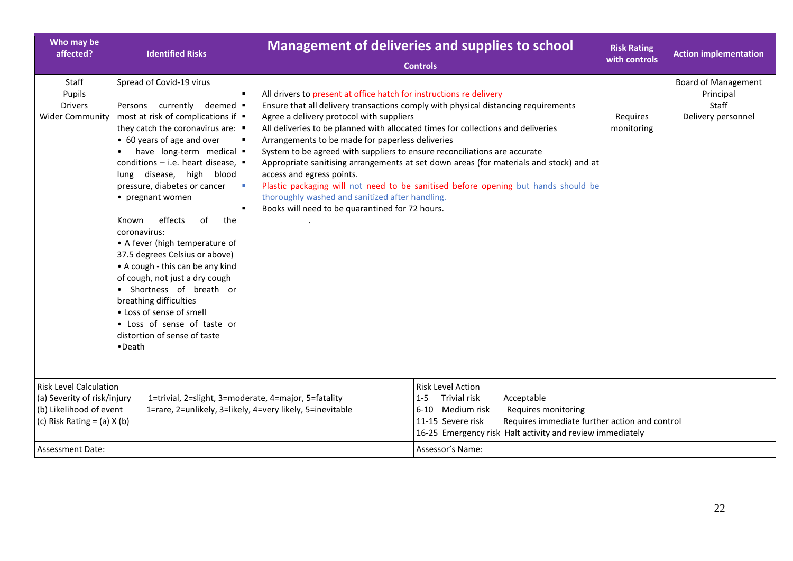| Who may be<br>affected?                                                                                                                               | <b>Identified Risks</b>                                                                                                                                                                                                                                                                                                                                                                                                                                                                                                                                                                                                                                                                                                                    | <b>Management of deliveries and supplies to school</b><br><b>Risk Rating</b><br>with controls<br><b>Controls</b>                                                                                                                                                                                                                                                                                                                                                                                                                                                                                                                                                                                                                                   |                        | <b>Action implementation</b>                                           |
|-------------------------------------------------------------------------------------------------------------------------------------------------------|--------------------------------------------------------------------------------------------------------------------------------------------------------------------------------------------------------------------------------------------------------------------------------------------------------------------------------------------------------------------------------------------------------------------------------------------------------------------------------------------------------------------------------------------------------------------------------------------------------------------------------------------------------------------------------------------------------------------------------------------|----------------------------------------------------------------------------------------------------------------------------------------------------------------------------------------------------------------------------------------------------------------------------------------------------------------------------------------------------------------------------------------------------------------------------------------------------------------------------------------------------------------------------------------------------------------------------------------------------------------------------------------------------------------------------------------------------------------------------------------------------|------------------------|------------------------------------------------------------------------|
|                                                                                                                                                       |                                                                                                                                                                                                                                                                                                                                                                                                                                                                                                                                                                                                                                                                                                                                            |                                                                                                                                                                                                                                                                                                                                                                                                                                                                                                                                                                                                                                                                                                                                                    |                        |                                                                        |
| Staff<br>Pupils<br><b>Drivers</b><br><b>Wider Community</b>                                                                                           | Spread of Covid-19 virus<br>Persons currently deemed .<br>most at risk of complications if $\vert \bullet \vert$<br>they catch the coronavirus are: $\vert \bullet \vert$<br>• 60 years of age and over<br>have long-term medical .<br>conditions – i.e. heart disease, $\vert \bullet \vert$<br>lung disease, high blood<br>pressure, diabetes or cancer<br>• pregnant women<br>effects<br>of<br>Known<br>the<br>coronavirus:<br>• A fever (high temperature of<br>37.5 degrees Celsius or above)<br>• A cough - this can be any kind<br>of cough, not just a dry cough<br>Shortness of breath or<br>breathing difficulties<br>• Loss of sense of smell<br>• Loss of sense of taste or<br>distortion of sense of taste<br>$\bullet$ Death | All drivers to present at office hatch for instructions re delivery<br>л<br>Ensure that all delivery transactions comply with physical distancing requirements<br>Agree a delivery protocol with suppliers<br>All deliveries to be planned with allocated times for collections and deliveries<br>Arrangements to be made for paperless deliveries<br>System to be agreed with suppliers to ensure reconciliations are accurate<br>Appropriate sanitising arrangements at set down areas (for materials and stock) and at<br>access and egress points.<br>Plastic packaging will not need to be sanitised before opening but hands should be<br>thoroughly washed and sanitized after handling.<br>Books will need to be quarantined for 72 hours. | Requires<br>monitoring | <b>Board of Management</b><br>Principal<br>Staff<br>Delivery personnel |
| <b>Risk Level Calculation</b><br>(a) Severity of risk/injury<br>(b) Likelihood of event<br>(c) Risk Rating = $(a)$ X $(b)$<br><b>Assessment Date:</b> |                                                                                                                                                                                                                                                                                                                                                                                                                                                                                                                                                                                                                                                                                                                                            | <b>Risk Level Action</b><br>1=trivial, 2=slight, 3=moderate, 4=major, 5=fatality<br>Trivial risk<br>Acceptable<br>$1 - 5$<br>1=rare, 2=unlikely, 3=likely, 4=very likely, 5=inevitable<br>6-10 Medium risk<br>Requires monitoring<br>Requires immediate further action and control<br>11-15 Severe risk<br>16-25 Emergency risk Halt activity and review immediately<br>Assessor's Name:                                                                                                                                                                                                                                                                                                                                                           |                        |                                                                        |
|                                                                                                                                                       |                                                                                                                                                                                                                                                                                                                                                                                                                                                                                                                                                                                                                                                                                                                                            |                                                                                                                                                                                                                                                                                                                                                                                                                                                                                                                                                                                                                                                                                                                                                    |                        |                                                                        |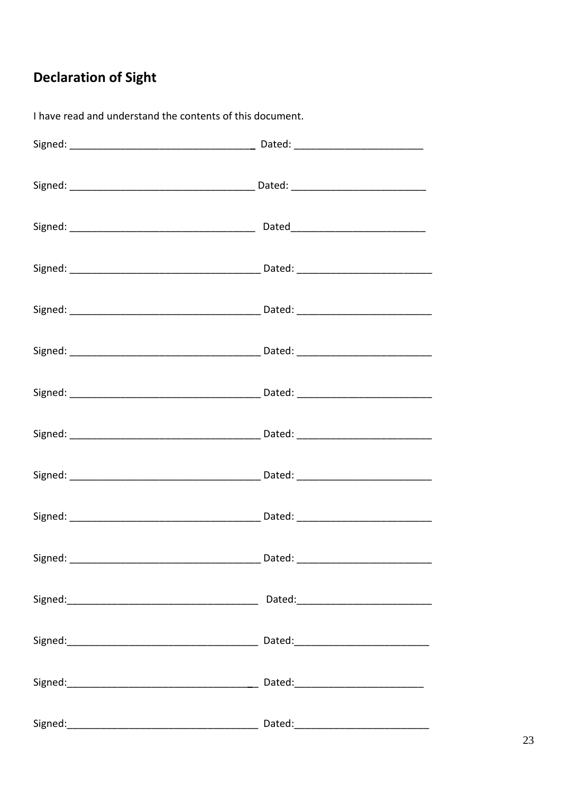# **Declaration of Sight**

| Dated: and the state of the state of the state of the state of the state of the state of the state of the state of the state of the state of the state of the state of the state of the state of the state of the state of the |
|--------------------------------------------------------------------------------------------------------------------------------------------------------------------------------------------------------------------------------|
|                                                                                                                                                                                                                                |
|                                                                                                                                                                                                                                |
|                                                                                                                                                                                                                                |
|                                                                                                                                                                                                                                |

I have read and understand the contents of this document.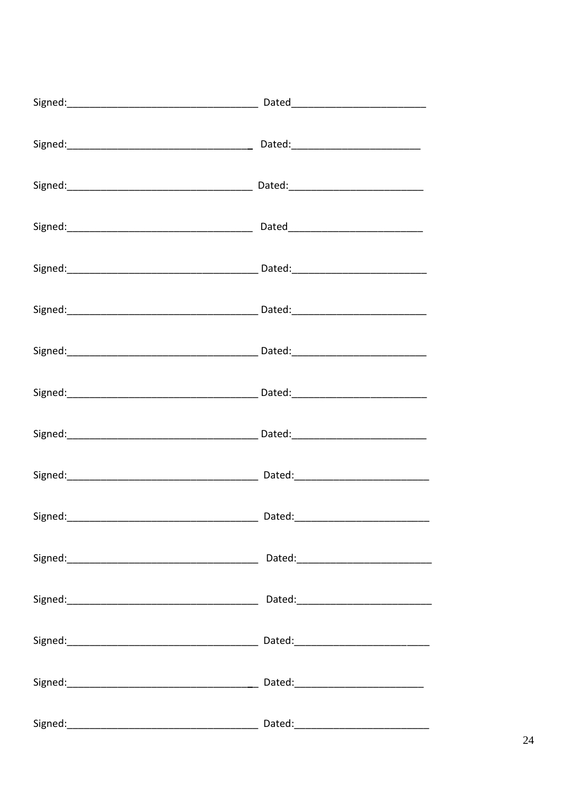| Signed: Contact Contact Contact Contact Contact Contact Contact Contact Contact Contact Contact Contact Contact Contact Contact Contact Contact Contact Contact Contact Contact Contact Contact Contact Contact Contact Contac |                                                                                                                                                                                                                                |
|--------------------------------------------------------------------------------------------------------------------------------------------------------------------------------------------------------------------------------|--------------------------------------------------------------------------------------------------------------------------------------------------------------------------------------------------------------------------------|
|                                                                                                                                                                                                                                |                                                                                                                                                                                                                                |
|                                                                                                                                                                                                                                |                                                                                                                                                                                                                                |
|                                                                                                                                                                                                                                |                                                                                                                                                                                                                                |
|                                                                                                                                                                                                                                |                                                                                                                                                                                                                                |
|                                                                                                                                                                                                                                |                                                                                                                                                                                                                                |
|                                                                                                                                                                                                                                |                                                                                                                                                                                                                                |
|                                                                                                                                                                                                                                |                                                                                                                                                                                                                                |
|                                                                                                                                                                                                                                |                                                                                                                                                                                                                                |
|                                                                                                                                                                                                                                | Dated: ________________________                                                                                                                                                                                                |
|                                                                                                                                                                                                                                | Dated: the contract of the contract of the contract of the contract of the contract of the contract of the contract of the contract of the contract of the contract of the contract of the contract of the contract of the con |